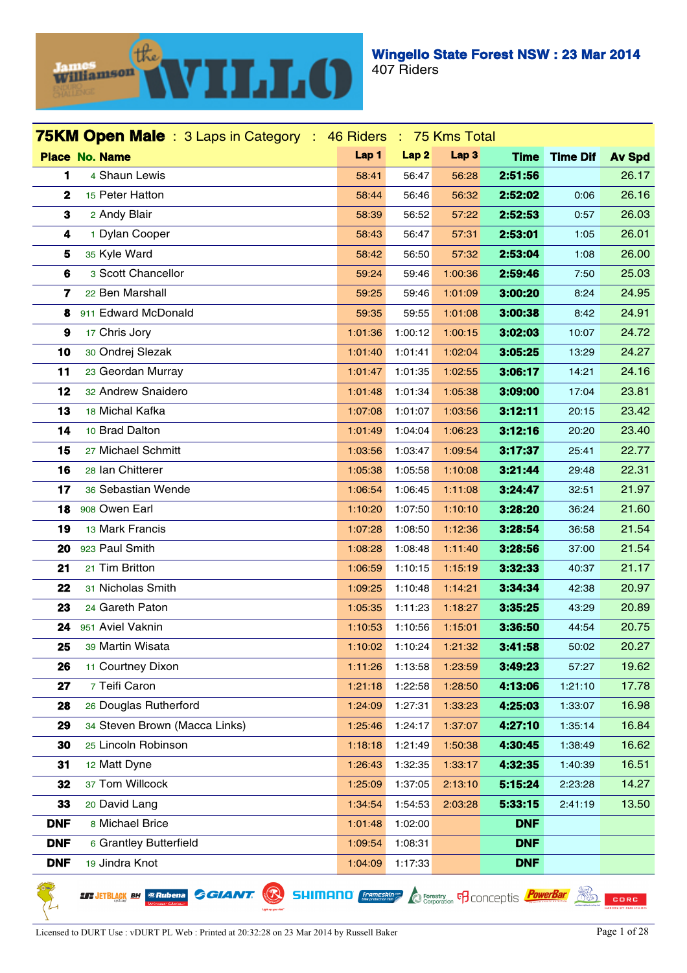

| <b>75KM Open Male</b> : 3 Laps in Category : 46 Riders : 75 Kms Total |         |                  |                  |             |                 |               |
|-----------------------------------------------------------------------|---------|------------------|------------------|-------------|-----------------|---------------|
| <b>Place No. Name</b>                                                 | Lap 1   | Lap <sub>2</sub> | Lap <sub>3</sub> | <b>Time</b> | <b>Time Dif</b> | <b>Av Spd</b> |
| 4 Shaun Lewis<br>1                                                    | 58:41   | 56:47            | 56:28            | 2:51:56     |                 | 26.17         |
| $\mathbf 2$<br>15 Peter Hatton                                        | 58:44   | 56:46            | 56:32            | 2:52:02     | 0:06            | 26.16         |
| 3<br>2 Andy Blair                                                     | 58:39   | 56:52            | 57:22            | 2:52:53     | 0:57            | 26.03         |
| 1 Dylan Cooper<br>4                                                   | 58:43   | 56:47            | 57:31            | 2:53:01     | 1:05            | 26.01         |
| 35 Kyle Ward<br>5                                                     | 58:42   | 56:50            | 57:32            | 2:53:04     | 1:08            | 26.00         |
| 6<br>3 Scott Chancellor                                               | 59:24   | 59:46            | 1:00:36          | 2:59:46     | 7:50            | 25.03         |
| 7<br>22 Ben Marshall                                                  | 59:25   | 59:46            | 1:01:09          | 3:00:20     | 8:24            | 24.95         |
| 911 Edward McDonald<br>8                                              | 59:35   | 59:55            | 1:01:08          | 3:00:38     | 8:42            | 24.91         |
| 9<br>17 Chris Jory                                                    | 1:01:36 | 1:00:12          | 1:00:15          | 3:02:03     | 10:07           | 24.72         |
| 10<br>30 Ondrej Slezak                                                | 1:01:40 | 1:01:41          | 1:02:04          | 3:05:25     | 13:29           | 24.27         |
| 11<br>23 Geordan Murray                                               | 1:01:47 | 1:01:35          | 1:02:55          | 3:06:17     | 14:21           | 24.16         |
| 32 Andrew Snaidero<br>12                                              | 1:01:48 | 1:01:34          | 1:05:38          | 3:09:00     | 17:04           | 23.81         |
| 13<br>18 Michal Kafka                                                 | 1:07:08 | 1:01:07          | 1:03:56          | 3:12:11     | 20:15           | 23.42         |
| 10 Brad Dalton<br>14                                                  | 1:01:49 | 1:04:04          | 1:06:23          | 3:12:16     | 20:20           | 23.40         |
| 27 Michael Schmitt<br>15                                              | 1:03:56 | 1:03:47          | 1:09:54          | 3:17:37     | 25:41           | 22.77         |
| 16<br>28 Ian Chitterer                                                | 1:05:38 | 1:05:58          | 1:10:08          | 3:21:44     | 29:48           | 22.31         |
| 17<br>36 Sebastian Wende                                              | 1:06:54 | 1:06:45          | 1:11:08          | 3:24:47     | 32:51           | 21.97         |
| 908 Owen Earl<br>18                                                   | 1:10:20 | 1:07:50          | 1:10:10          | 3:28:20     | 36:24           | 21.60         |
| 13 Mark Francis<br>19                                                 | 1:07:28 | 1:08:50          | 1:12:36          | 3:28:54     | 36:58           | 21.54         |
| 923 Paul Smith<br>20                                                  | 1:08:28 | 1:08:48          | 1:11:40          | 3:28:56     | 37:00           | 21.54         |
| 21 Tim Britton<br>21                                                  | 1:06:59 | 1:10:15          | 1:15:19          | 3:32:33     | 40:37           | 21.17         |
| 22<br>31 Nicholas Smith                                               | 1:09:25 | 1:10:48          | 1:14:21          | 3:34:34     | 42:38           | 20.97         |
| 24 Gareth Paton<br>23                                                 | 1:05:35 | 1:11:23          | 1:18:27          | 3:35:25     | 43:29           | 20.89         |
| 951 Aviel Vaknin<br>24                                                | 1:10:53 | 1:10:56          | 1:15:01          | 3:36:50     | 44:54           | 20.75         |
| 25<br>39 Martin Wisata                                                | 1:10:02 | 1:10:24          | 1:21:32          | 3:41:58     | 50:02           | 20.27         |
| 26<br>11 Courtney Dixon                                               | 1:11:26 | 1:13:58          | 1:23:59          | 3:49:23     | 57:27           | 19.62         |
| 7 Teifi Caron<br>27                                                   | 1:21:18 | 1:22:58          | 1:28:50          | 4:13:06     | 1:21:10         | 17.78         |
| 28<br>26 Douglas Rutherford                                           | 1:24:09 | 1:27:31          | 1:33:23          | 4:25:03     | 1:33:07         | 16.98         |
| 34 Steven Brown (Macca Links)<br>29                                   | 1:25:46 | 1:24:17          | 1:37:07          | 4:27:10     | 1:35:14         | 16.84         |
| 25 Lincoln Robinson<br>30                                             | 1:18:18 | 1:21:49          | 1:50:38          | 4:30:45     | 1:38:49         | 16.62         |
| 31<br>12 Matt Dyne                                                    | 1:26:43 | 1:32:35          | 1:33:17          | 4:32:35     | 1:40:39         | 16.51         |
| 37 Tom Willcock<br>32                                                 | 1:25:09 | 1:37:05          | 2:13:10          | 5:15:24     | 2:23:28         | 14.27         |
| 33<br>20 David Lang                                                   | 1:34:54 | 1:54:53          | 2:03:28          | 5:33:15     | 2:41:19         | 13.50         |
| 8 Michael Brice<br><b>DNF</b>                                         | 1:01:48 | 1:02:00          |                  | <b>DNF</b>  |                 |               |
| <b>DNF</b><br>6 Grantley Butterfield                                  | 1:09:54 | 1:08:31          |                  | <b>DNF</b>  |                 |               |
| <b>DNF</b><br>19 Jindra Knot                                          | 1:04:09 | 1:17:33          |                  | <b>DNF</b>  |                 |               |

**LT JETBLACK BH @Rubena** 

**SHIMANO** *<i>Enginemesking* **C** Forestry **F** CONCEPTIS *PowerBar* **EQ CORC** 

**GGIANT.**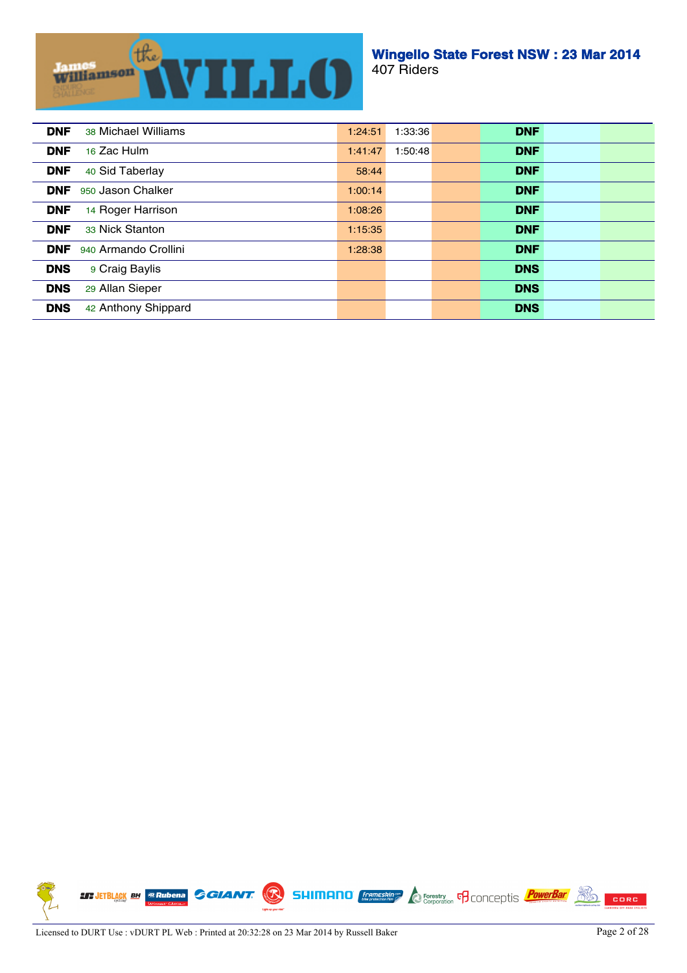

| 1:24:51 | <b>DNF</b> |                    |
|---------|------------|--------------------|
| 1:41:47 | <b>DNF</b> |                    |
| 58:44   | <b>DNF</b> |                    |
| 1:00:14 | <b>DNF</b> |                    |
| 1:08:26 | <b>DNF</b> |                    |
| 1:15:35 | <b>DNF</b> |                    |
| 1:28:38 | <b>DNF</b> |                    |
|         | <b>DNS</b> |                    |
|         | <b>DNS</b> |                    |
|         | <b>DNS</b> |                    |
|         |            | 1:33:36<br>1:50:48 |

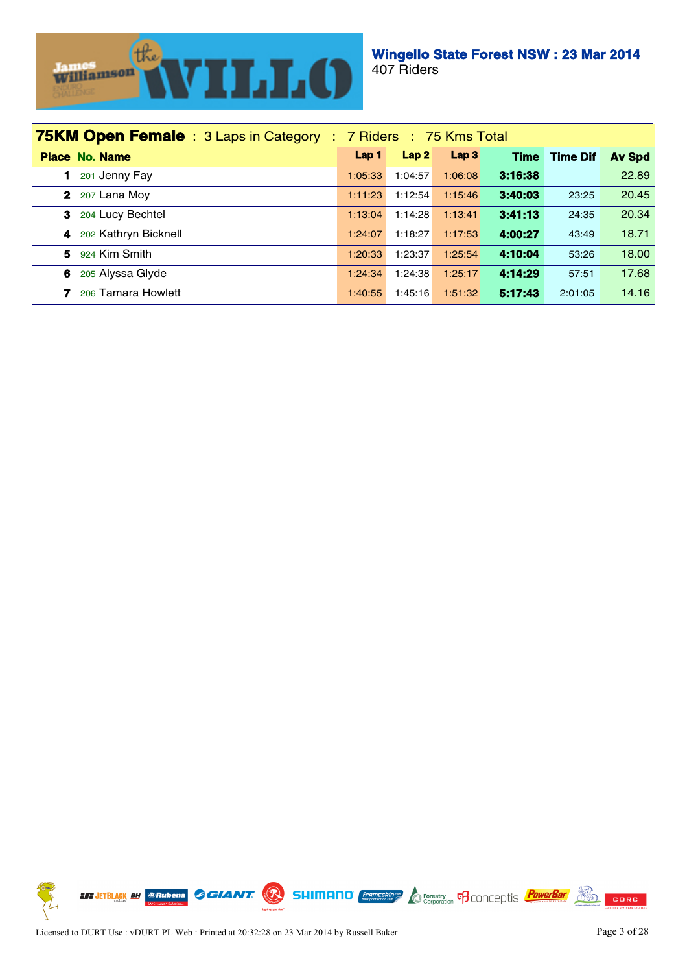

| <b>75KM Open Female</b> : 3 Laps in Category : 7 Riders : 75 Kms Total |         |         |                  |             |                 |               |  |  |  |
|------------------------------------------------------------------------|---------|---------|------------------|-------------|-----------------|---------------|--|--|--|
| <b>Place No. Name</b>                                                  | Lap 1   | Lap2    | Lap <sub>3</sub> | <b>Time</b> | <b>Time Dif</b> | <b>Av Spd</b> |  |  |  |
| 201 Jenny Fay                                                          | 1:05:33 | 1:04:57 | 1:06:08          | 3:16:38     |                 | 22.89         |  |  |  |
| $\mathbf{2}$<br>207 Lana Moy                                           | 1:11:23 | 1:12:54 | 1:15:46          | 3:40:03     | 23:25           | 20.45         |  |  |  |
| 204 Lucy Bechtel<br>3                                                  | 1:13:04 | 1:14:28 | 1:13:41          | 3:41:13     | 24:35           | 20.34         |  |  |  |
| 202 Kathryn Bicknell<br>4                                              | 1:24:07 | 1:18:27 | 1:17:53          | 4:00:27     | 43:49           | 18.71         |  |  |  |
| 924 Kim Smith<br>5                                                     | 1:20:33 | 1:23:37 | 1:25:54          | 4:10:04     | 53:26           | 18.00         |  |  |  |
| 205 Alyssa Glyde<br>6                                                  | 1:24:34 | 1:24:38 | 1:25:17          | 4:14:29     | 57:51           | 17.68         |  |  |  |
| 206 Tamara Howlett<br>7                                                | 1:40:55 | 1:45:16 | 1:51:32          | 5:17:43     | 2:01:05         | 14.16         |  |  |  |

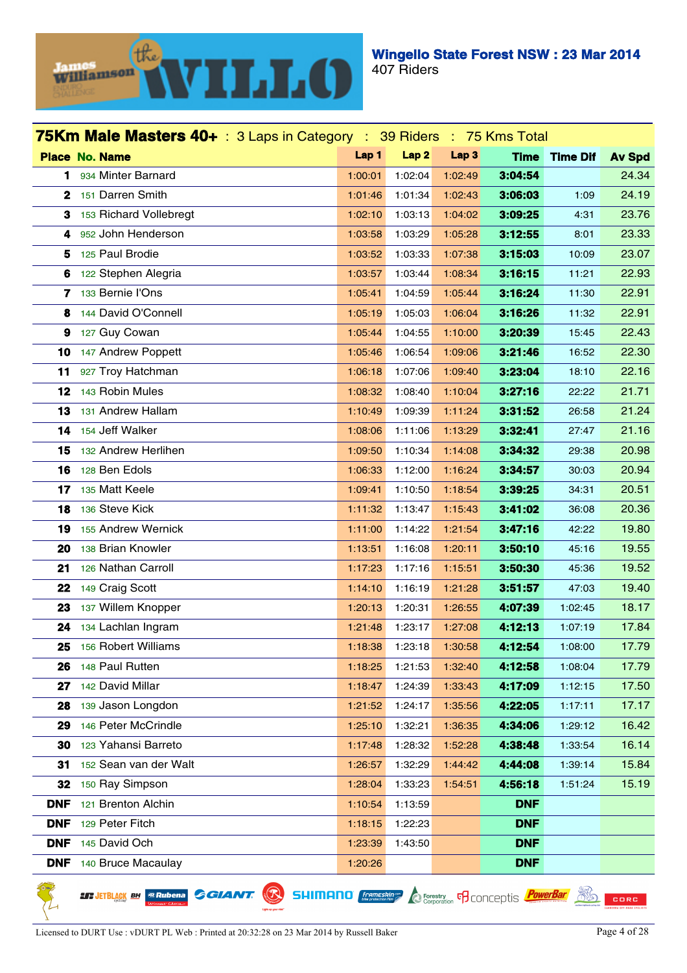

|            | 75Km Male Masters 40+ : 3 Laps in Category : 39 Riders : 75 Kms Total |         |                  |                  |             |                 |               |
|------------|-----------------------------------------------------------------------|---------|------------------|------------------|-------------|-----------------|---------------|
|            | <b>Place No. Name</b>                                                 | Lap 1   | Lap <sub>2</sub> | Lap <sub>3</sub> | <b>Time</b> | <b>Time Dif</b> | <b>Av Spd</b> |
| 1.         | 934 Minter Barnard                                                    | 1:00:01 | 1:02:04          | 1:02:49          | 3:04:54     |                 | 24.34         |
|            | 2 151 Darren Smith                                                    | 1:01:46 | 1:01:34          | 1:02:43          | 3:06:03     | 1:09            | 24.19         |
| 3          | 153 Richard Vollebregt                                                | 1:02:10 | 1:03:13          | 1:04:02          | 3:09:25     | 4:31            | 23.76         |
| 4          | 952 John Henderson                                                    | 1:03:58 | 1:03:29          | 1:05:28          | 3:12:55     | 8:01            | 23.33         |
| 5          | 125 Paul Brodie                                                       | 1:03:52 | 1:03:33          | 1:07:38          | 3:15:03     | 10:09           | 23.07         |
| 6          | 122 Stephen Alegria                                                   | 1:03:57 | 1:03:44          | 1:08:34          | 3:16:15     | 11:21           | 22.93         |
|            | 7 133 Bernie l'Ons                                                    | 1:05:41 | 1:04:59          | 1:05:44          | 3:16:24     | 11:30           | 22.91         |
| 8          | 144 David O'Connell                                                   | 1:05:19 | 1:05:03          | 1:06:04          | 3:16:26     | 11:32           | 22.91         |
| 9          | 127 Guy Cowan                                                         | 1:05:44 | 1:04:55          | 1:10:00          | 3:20:39     | 15:45           | 22.43         |
| 10         | 147 Andrew Poppett                                                    | 1:05:46 | 1:06:54          | 1:09:06          | 3:21:46     | 16:52           | 22.30         |
| 11         | 927 Troy Hatchman                                                     | 1:06:18 | 1:07:06          | 1:09:40          | 3:23:04     | 18:10           | 22.16         |
| 12         | 143 Robin Mules                                                       | 1:08:32 | 1:08:40          | 1:10:04          | 3:27:16     | 22:22           | 21.71         |
| 13         | 131 Andrew Hallam                                                     | 1:10:49 | 1:09:39          | 1:11:24          | 3:31:52     | 26:58           | 21.24         |
| 14         | 154 Jeff Walker                                                       | 1:08:06 | 1:11:06          | 1:13:29          | 3:32:41     | 27:47           | 21.16         |
| 15         | 132 Andrew Herlihen                                                   | 1:09:50 | 1:10:34          | 1:14:08          | 3:34:32     | 29:38           | 20.98         |
| 16         | 128 Ben Edols                                                         | 1:06:33 | 1:12:00          | 1:16:24          | 3:34:57     | 30:03           | 20.94         |
| 17         | 135 Matt Keele                                                        | 1:09:41 | 1:10:50          | 1:18:54          | 3:39:25     | 34:31           | 20.51         |
| 18         | 136 Steve Kick                                                        | 1:11:32 | 1:13:47          | 1:15:43          | 3:41:02     | 36:08           | 20.36         |
| 19         | 155 Andrew Wernick                                                    | 1:11:00 | 1:14:22          | 1:21:54          | 3:47:16     | 42:22           | 19.80         |
| 20         | 138 Brian Knowler                                                     | 1:13:51 | 1:16:08          | 1:20:11          | 3:50:10     | 45:16           | 19.55         |
| 21         | 126 Nathan Carroll                                                    | 1:17:23 | 1:17:16          | 1:15:51          | 3:50:30     | 45:36           | 19.52         |
| 22         | 149 Craig Scott                                                       | 1:14:10 | 1:16:19          | 1:21:28          | 3:51:57     | 47:03           | 19.40         |
| 23         | 137 Willem Knopper                                                    | 1:20:13 | 1:20:31          | 1:26:55          | 4:07:39     | 1:02:45         | 18.17         |
| 24         | 134 Lachlan Ingram                                                    | 1:21:48 | 1:23:17          | 1:27:08          | 4:12:13     | 1:07:19         | 17.84         |
| 25         | 156 Robert Williams                                                   | 1:18:38 | 1:23:18          | 1:30:58          | 4:12:54     | 1:08:00         | 17.79         |
| 26         | 148 Paul Rutten                                                       | 1:18:25 | 1:21:53          | 1:32:40          | 4:12:58     | 1:08:04         | 17.79         |
| 27         | 142 David Millar                                                      | 1:18:47 | 1:24:39          | 1:33:43          | 4:17:09     | 1:12:15         | 17.50         |
| 28         | 139 Jason Longdon                                                     | 1:21:52 | 1:24:17          | 1:35:56          | 4:22:05     | 1:17:11         | 17.17         |
| 29         | 146 Peter McCrindle                                                   | 1:25:10 | 1:32:21          | 1:36:35          | 4:34:06     | 1:29:12         | 16.42         |
| 30         | 123 Yahansi Barreto                                                   | 1:17:48 | 1:28:32          | 1:52:28          | 4:38:48     | 1:33:54         | 16.14         |
| 31         | 152 Sean van der Walt                                                 | 1:26:57 | 1:32:29          | 1:44:42          | 4:44:08     | 1:39:14         | 15.84         |
| 32         | 150 Ray Simpson                                                       | 1:28:04 | 1:33:23          | 1:54:51          | 4:56:18     | 1:51:24         | 15.19         |
| <b>DNF</b> | 121 Brenton Alchin                                                    | 1:10:54 | 1:13:59          |                  | <b>DNF</b>  |                 |               |
| <b>DNF</b> | 129 Peter Fitch                                                       | 1:18:15 | 1:22:23          |                  | <b>DNF</b>  |                 |               |
| <b>DNF</b> | 145 David Och                                                         | 1:23:39 | 1:43:50          |                  | <b>DNF</b>  |                 |               |
| <b>DNF</b> | 140 Bruce Macaulay                                                    | 1:20:26 |                  |                  | <b>DNF</b>  |                 |               |

**LT JETBLACK BH @Rubena** 

**SHIMANO** *<i>Enginemesking* **C** Forestry **F** CONCEPTIS *PowerBar* **EQ CORC** 

**GGIANT.**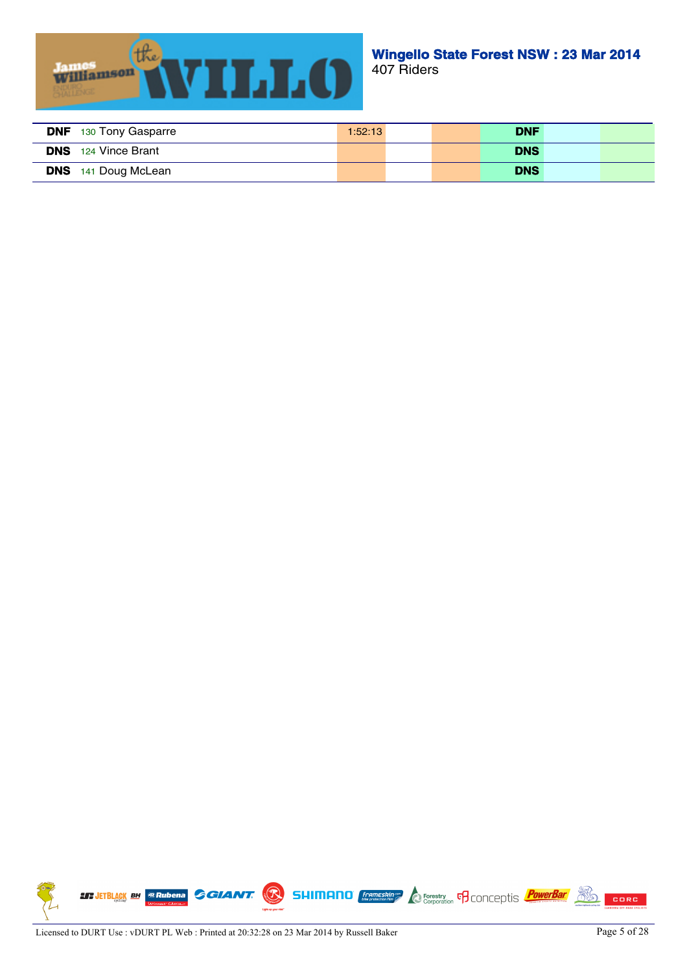

| <b>DNF</b><br>130 Tony Gasparre | 1:52:13 | <b>DNF</b> |  |
|---------------------------------|---------|------------|--|
| <b>DNS</b> 124 Vince Brant      |         | <b>DNS</b> |  |
| <b>DNS</b> 141 Doug McLean      |         | <b>DNS</b> |  |

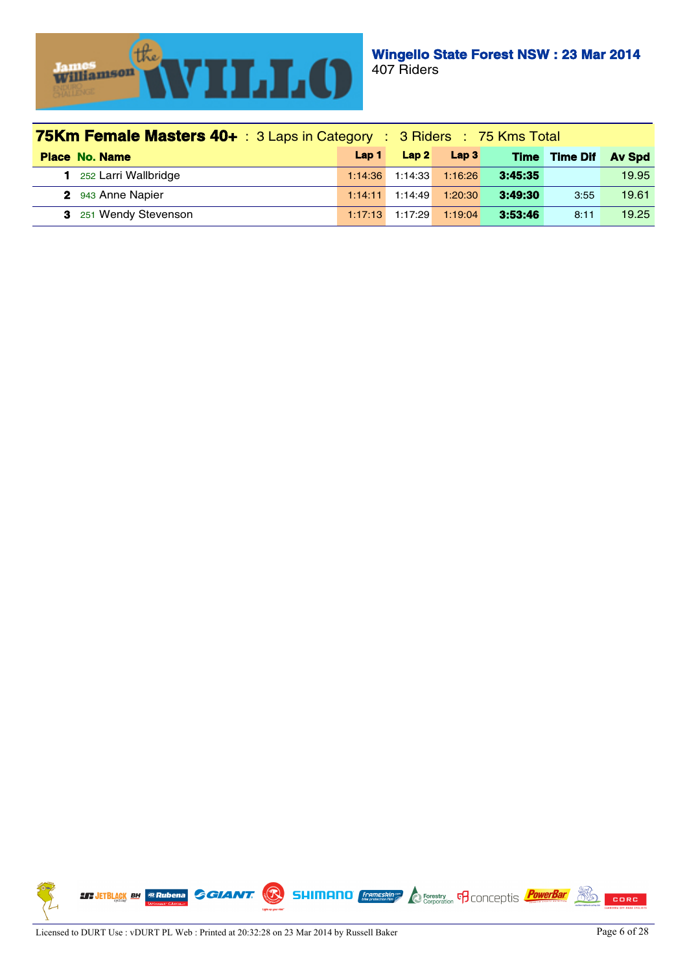

| <b>75Km Female Masters 40+</b> : 3 Laps in Category : 3 Riders : 75 Kms Total |         |         |                  |             |                 |               |
|-------------------------------------------------------------------------------|---------|---------|------------------|-------------|-----------------|---------------|
| <b>Place No. Name</b>                                                         | Lap 1   | Lap2    | Lap <sub>3</sub> | <b>Time</b> | <b>Time Dif</b> | <b>Av Spd</b> |
| 252 Larri Wallbridge                                                          | 1:14:36 | 1:14:33 | 1:16:26          | 3:45:35     |                 | 19.95         |
| 2 943 Anne Napier                                                             | 1:14:11 | 1:14:49 | 1:20:30          | 3:49:30     | 3:55            | 19.61         |
| 3 251 Wendy Stevenson                                                         | 1:17:13 | 1:17:29 | 1:19:04          | 3:53:46     | 8:11            | 19.25         |

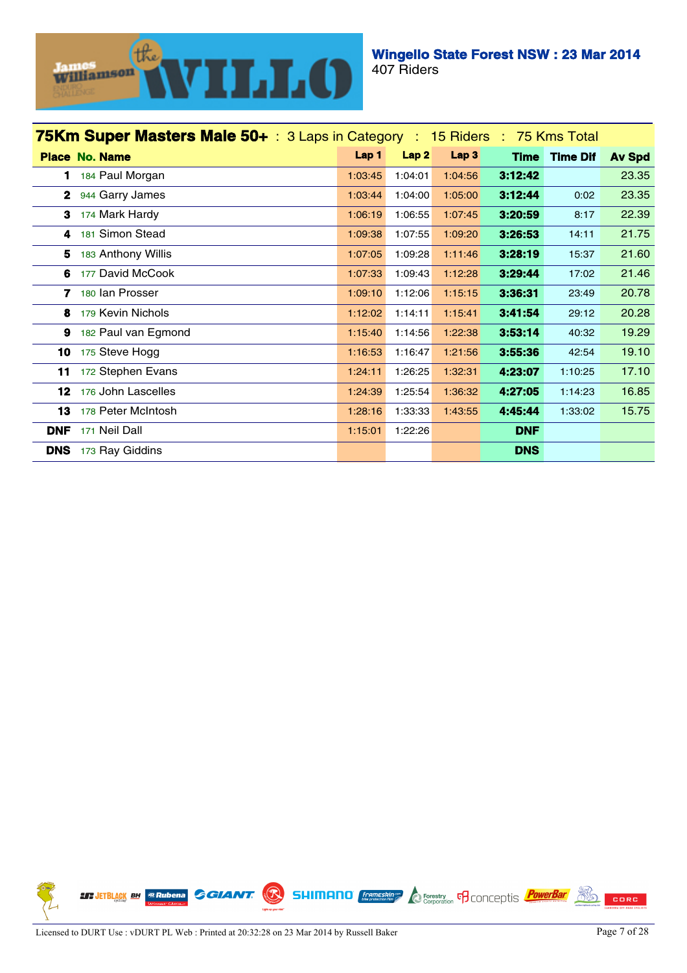

| 75Km Super Masters Male 50+ : 3 Laps in Category : 15 Riders : 75 Kms Total |                       |         |                  |         |             |                 |               |
|-----------------------------------------------------------------------------|-----------------------|---------|------------------|---------|-------------|-----------------|---------------|
|                                                                             | <b>Place No. Name</b> | Lap 1   | Lap <sub>2</sub> | Lap 3   | <b>Time</b> | <b>Time Dif</b> | <b>Av Spd</b> |
| 1                                                                           | 184 Paul Morgan       | 1:03:45 | 1:04:01          | 1:04:56 | 3:12:42     |                 | 23.35         |
|                                                                             | 2 944 Garry James     | 1:03:44 | 1:04:00          | 1:05:00 | 3:12:44     | 0:02            | 23.35         |
| 3                                                                           | 174 Mark Hardy        | 1:06:19 | 1:06:55          | 1:07:45 | 3:20:59     | 8:17            | 22.39         |
| 4                                                                           | 181 Simon Stead       | 1:09:38 | 1:07:55          | 1:09:20 | 3:26:53     | 14:11           | 21.75         |
| 5                                                                           | 183 Anthony Willis    | 1:07:05 | 1:09:28          | 1:11:46 | 3:28:19     | 15:37           | 21.60         |
| 6                                                                           | 177 David McCook      | 1:07:33 | 1:09:43          | 1:12:28 | 3:29:44     | 17:02           | 21.46         |
|                                                                             | 7 180 Ian Prosser     | 1:09:10 | 1:12:06          | 1:15:15 | 3:36:31     | 23:49           | 20.78         |
| 8                                                                           | 179 Kevin Nichols     | 1:12:02 | 1:14:11          | 1:15:41 | 3:41:54     | 29:12           | 20.28         |
| 9                                                                           | 182 Paul van Egmond   | 1:15:40 | 1:14:56          | 1:22:38 | 3:53:14     | 40:32           | 19.29         |
| 10                                                                          | 175 Steve Hogg        | 1:16:53 | 1:16:47          | 1:21:56 | 3:55:36     | 42:54           | 19.10         |
| 11                                                                          | 172 Stephen Evans     | 1:24:11 | 1:26:25          | 1:32:31 | 4:23:07     | 1:10:25         | 17.10         |
| 12                                                                          | 176 John Lascelles    | 1:24:39 | 1:25:54          | 1:36:32 | 4:27:05     | 1:14:23         | 16.85         |
| 13                                                                          | 178 Peter McIntosh    | 1:28:16 | 1:33:33          | 1:43:55 | 4:45:44     | 1:33:02         | 15.75         |
| <b>DNF</b>                                                                  | 171 Neil Dall         | 1:15:01 | 1:22:26          |         | <b>DNF</b>  |                 |               |
| <b>DNS</b>                                                                  | 173 Ray Giddins       |         |                  |         | <b>DNS</b>  |                 |               |

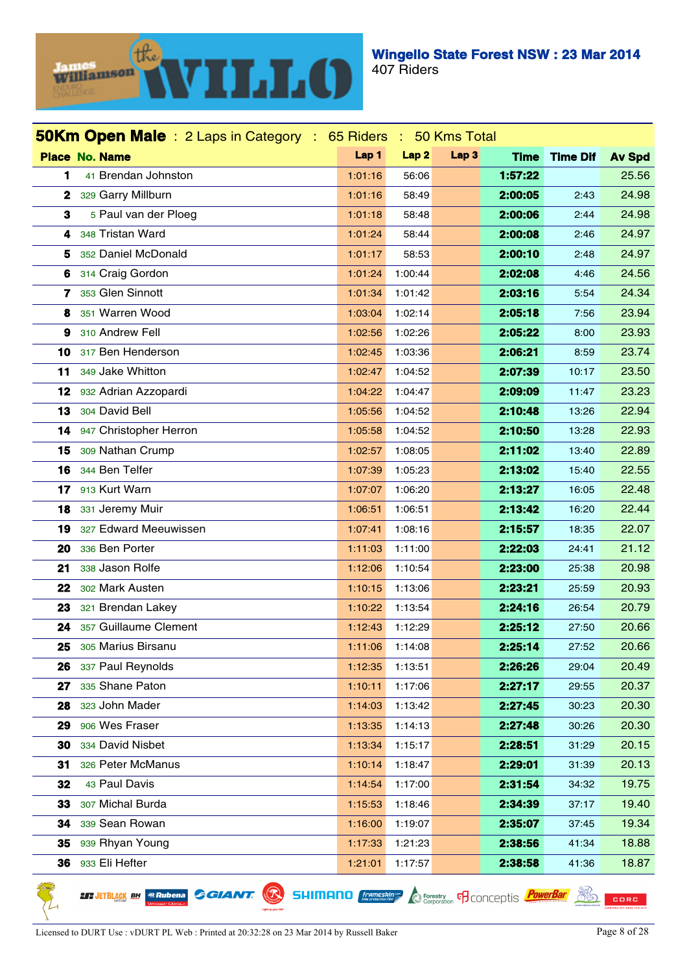

|              | <b>50Km Open Male</b> : 2 Laps in Category : 65 Riders : 50 Kms Total |         |                  |                  |             |                 |               |
|--------------|-----------------------------------------------------------------------|---------|------------------|------------------|-------------|-----------------|---------------|
|              | <b>Place No. Name</b>                                                 | Lap 1   | Lap <sub>2</sub> | Lap <sub>3</sub> | <b>Time</b> | <b>Time Dif</b> | <b>Av Spd</b> |
| 1            | 41 Brendan Johnston                                                   | 1:01:16 | 56:06            |                  | 1:57:22     |                 | 25.56         |
| $\mathbf{2}$ | 329 Garry Millburn                                                    | 1:01:16 | 58:49            |                  | 2:00:05     | 2:43            | 24.98         |
| 3            | 5 Paul van der Ploeg                                                  | 1:01:18 | 58:48            |                  | 2:00:06     | 2:44            | 24.98         |
| 4            | 348 Tristan Ward                                                      | 1:01:24 | 58:44            |                  | 2:00:08     | 2:46            | 24.97         |
| 5            | 352 Daniel McDonald                                                   | 1:01:17 | 58:53            |                  | 2:00:10     | 2:48            | 24.97         |
| 6            | 314 Craig Gordon                                                      | 1:01:24 | 1:00:44          |                  | 2:02:08     | 4:46            | 24.56         |
| 7            | 353 Glen Sinnott                                                      | 1:01:34 | 1:01:42          |                  | 2:03:16     | 5:54            | 24.34         |
| 8            | 351 Warren Wood                                                       | 1:03:04 | 1:02:14          |                  | 2:05:18     | 7:56            | 23.94         |
| 9            | 310 Andrew Fell                                                       | 1:02:56 | 1:02:26          |                  | 2:05:22     | 8:00            | 23.93         |
| 10           | 317 Ben Henderson                                                     | 1:02:45 | 1:03:36          |                  | 2:06:21     | 8:59            | 23.74         |
| 11           | 349 Jake Whitton                                                      | 1:02:47 | 1:04:52          |                  | 2:07:39     | 10:17           | 23.50         |
| 12           | 932 Adrian Azzopardi                                                  | 1:04:22 | 1:04:47          |                  | 2:09:09     | 11:47           | 23.23         |
| 13           | 304 David Bell                                                        | 1:05:56 | 1:04:52          |                  | 2:10:48     | 13:26           | 22.94         |
| 14           | 947 Christopher Herron                                                | 1:05:58 | 1:04:52          |                  | 2:10:50     | 13:28           | 22.93         |
| 15           | 309 Nathan Crump                                                      | 1:02:57 | 1:08:05          |                  | 2:11:02     | 13:40           | 22.89         |
| 16           | 344 Ben Telfer                                                        | 1:07:39 | 1:05:23          |                  | 2:13:02     | 15:40           | 22.55         |
| 17           | 913 Kurt Warn                                                         | 1:07:07 | 1:06:20          |                  | 2:13:27     | 16:05           | 22.48         |
| 18           | 331 Jeremy Muir                                                       | 1:06:51 | 1:06:51          |                  | 2:13:42     | 16:20           | 22.44         |
| 19           | 327 Edward Meeuwissen                                                 | 1:07:41 | 1:08:16          |                  | 2:15:57     | 18:35           | 22.07         |
| 20           | 336 Ben Porter                                                        | 1:11:03 | 1:11:00          |                  | 2:22:03     | 24:41           | 21.12         |
| 21           | 338 Jason Rolfe                                                       | 1:12:06 | 1:10:54          |                  | 2:23:00     | 25:38           | 20.98         |
| 22           | 302 Mark Austen                                                       | 1:10:15 | 1:13:06          |                  | 2:23:21     | 25:59           | 20.93         |
| 23           | 321 Brendan Lakey                                                     | 1:10:22 | 1:13:54          |                  | 2:24:16     | 26:54           | 20.79         |
| 24           | 357 Guillaume Clement                                                 | 1:12:43 | 1:12:29          |                  | 2:25:12     | 27:50           | 20.66         |
| 25           | 305 Marius Birsanu                                                    | 1:11:06 | 1:14:08          |                  | 2:25:14     | 27:52           | 20.66         |
| 26           | 337 Paul Reynolds                                                     | 1:12:35 | 1:13:51          |                  | 2:26:26     | 29:04           | 20.49         |
| 27           | 335 Shane Paton                                                       | 1:10:11 | 1:17:06          |                  | 2:27:17     | 29:55           | 20.37         |
| 28           | 323 John Mader                                                        | 1:14:03 | 1:13:42          |                  | 2:27:45     | 30:23           | 20.30         |
| 29           | 906 Wes Fraser                                                        | 1:13:35 | 1:14:13          |                  | 2:27:48     | 30:26           | 20.30         |
| 30           | 334 David Nisbet                                                      | 1:13:34 | 1:15:17          |                  | 2:28:51     | 31:29           | 20.15         |
| 31           | 326 Peter McManus                                                     | 1:10:14 | 1:18:47          |                  | 2:29:01     | 31:39           | 20.13         |
| 32           | 43 Paul Davis                                                         | 1:14:54 | 1:17:00          |                  | 2:31:54     | 34:32           | 19.75         |
| 33           | 307 Michal Burda                                                      | 1:15:53 | 1:18:46          |                  | 2:34:39     | 37:17           | 19.40         |
| 34           | 339 Sean Rowan                                                        | 1:16:00 | 1:19:07          |                  | 2:35:07     | 37:45           | 19.34         |
| 35           | 939 Rhyan Young                                                       | 1:17:33 | 1:21:23          |                  | 2:38:56     | 41:34           | 18.88         |
| 36           | 933 Eli Hefter                                                        | 1:21:01 | 1:17:57          |                  | 2:38:58     | 41:36           | 18.87         |

Licensed to DURT Use : vDURT PL Web : Printed at 20:32:28 on 23 Mar 2014 by Russell Baker Page 8 of 28

**LT JETBLACK BH @Rubena** 

**GGIANT.** 

**SHIMANO** *<i>Enginemesking* **C** Forestry **F** CONCEPTIS *PowerBar* **EQ CORC**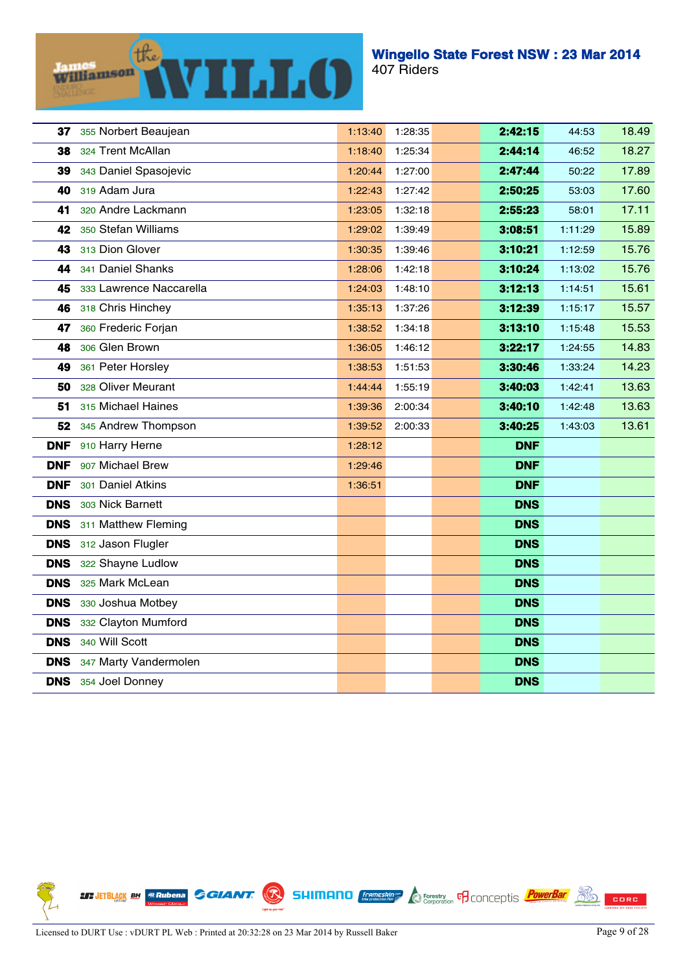

| 37         | 355 Norbert Beaujean    | 1:13:40 | 1:28:35 | 2:42:15    | 44:53   | 18.49 |
|------------|-------------------------|---------|---------|------------|---------|-------|
| 38         | 324 Trent McAllan       | 1:18:40 | 1:25:34 | 2:44:14    | 46:52   | 18.27 |
| 39         | 343 Daniel Spasojevic   | 1:20:44 | 1:27:00 | 2:47:44    | 50:22   | 17.89 |
| 40         | 319 Adam Jura           | 1:22:43 | 1:27:42 | 2:50:25    | 53:03   | 17.60 |
| 41         | 320 Andre Lackmann      | 1:23:05 | 1:32:18 | 2:55:23    | 58:01   | 17.11 |
| 42         | 350 Stefan Williams     | 1:29:02 | 1:39:49 | 3:08:51    | 1:11:29 | 15.89 |
| 43         | 313 Dion Glover         | 1:30:35 | 1:39:46 | 3:10:21    | 1:12:59 | 15.76 |
| 44         | 341 Daniel Shanks       | 1:28:06 | 1:42:18 | 3:10:24    | 1:13:02 | 15.76 |
| 45         | 333 Lawrence Naccarella | 1:24:03 | 1:48:10 | 3:12:13    | 1:14:51 | 15.61 |
| 46         | 318 Chris Hinchey       | 1:35:13 | 1:37:26 | 3:12:39    | 1:15:17 | 15.57 |
| 47         | 360 Frederic Forjan     | 1:38:52 | 1:34:18 | 3:13:10    | 1:15:48 | 15.53 |
| 48         | 306 Glen Brown          | 1:36:05 | 1:46:12 | 3:22:17    | 1:24:55 | 14.83 |
| 49         | 361 Peter Horsley       | 1:38:53 | 1:51:53 | 3:30:46    | 1:33:24 | 14.23 |
| 50         | 328 Oliver Meurant      | 1:44:44 | 1:55:19 | 3:40:03    | 1:42:41 | 13.63 |
| 51         | 315 Michael Haines      | 1:39:36 | 2:00:34 | 3:40:10    | 1:42:48 | 13.63 |
| 52         | 345 Andrew Thompson     | 1:39:52 | 2:00:33 | 3:40:25    | 1:43:03 | 13.61 |
| <b>DNF</b> | 910 Harry Herne         | 1:28:12 |         | <b>DNF</b> |         |       |
| <b>DNF</b> | 907 Michael Brew        | 1:29:46 |         | <b>DNF</b> |         |       |
| <b>DNF</b> | 301 Daniel Atkins       | 1:36:51 |         | <b>DNF</b> |         |       |
| <b>DNS</b> | 303 Nick Barnett        |         |         | <b>DNS</b> |         |       |
| <b>DNS</b> | 311 Matthew Fleming     |         |         | <b>DNS</b> |         |       |
| <b>DNS</b> | 312 Jason Flugler       |         |         | <b>DNS</b> |         |       |
| <b>DNS</b> | 322 Shayne Ludlow       |         |         | <b>DNS</b> |         |       |
| <b>DNS</b> | 325 Mark McLean         |         |         | <b>DNS</b> |         |       |
| <b>DNS</b> | 330 Joshua Motbey       |         |         | <b>DNS</b> |         |       |
| <b>DNS</b> | 332 Clayton Mumford     |         |         | <b>DNS</b> |         |       |
| <b>DNS</b> | 340 Will Scott          |         |         | <b>DNS</b> |         |       |
| <b>DNS</b> | 347 Marty Vandermolen   |         |         | <b>DNS</b> |         |       |
| <b>DNS</b> | 354 Joel Donney         |         |         | <b>DNS</b> |         |       |

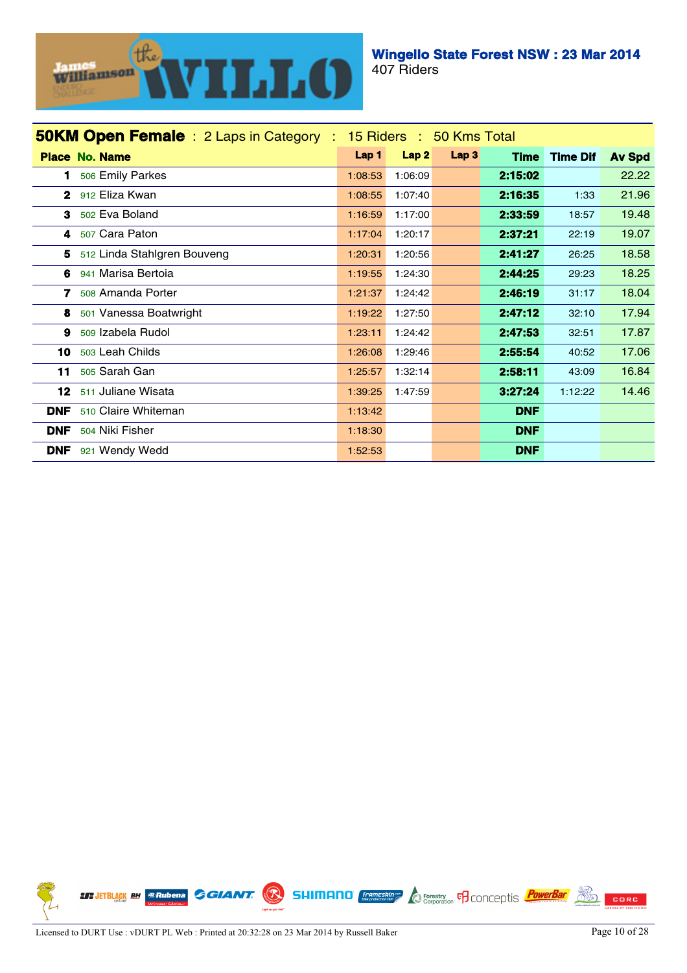

| <b>50KM Open Female</b> : 2 Laps in Category : 15 Riders : 50 Kms Total |         |                  |      |             |                 |               |  |
|-------------------------------------------------------------------------|---------|------------------|------|-------------|-----------------|---------------|--|
| <b>Place No. Name</b>                                                   | Lap 1   | Lap <sub>2</sub> | Lap3 | <b>Time</b> | <b>Time Dif</b> | <b>Av Spd</b> |  |
| 506 Emily Parkes<br>1                                                   | 1:08:53 | 1:06:09          |      | 2:15:02     |                 | 22.22         |  |
| 912 Eliza Kwan<br>$\mathbf{2}$                                          | 1:08:55 | 1:07:40          |      | 2:16:35     | 1:33            | 21.96         |  |
| 502 Eva Boland<br>3                                                     | 1:16:59 | 1:17:00          |      | 2:33:59     | 18:57           | 19.48         |  |
| 507 Cara Paton<br>4                                                     | 1:17:04 | 1:20:17          |      | 2:37:21     | 22:19           | 19.07         |  |
| 512 Linda Stahlgren Bouveng<br>5.                                       | 1:20:31 | 1:20:56          |      | 2:41:27     | 26:25           | 18.58         |  |
| 941 Marisa Bertoia<br>6                                                 | 1:19:55 | 1:24:30          |      | 2:44:25     | 29:23           | 18.25         |  |
| 508 Amanda Porter<br>7                                                  | 1:21:37 | 1:24:42          |      | 2:46:19     | 31:17           | 18.04         |  |
| 501 Vanessa Boatwright<br>8                                             | 1:19:22 | 1:27:50          |      | 2:47:12     | 32:10           | 17.94         |  |
| 509 Izabela Rudol<br>9                                                  | 1:23:11 | 1:24:42          |      | 2:47:53     | 32:51           | 17.87         |  |
| 503 Leah Childs<br>10                                                   | 1:26:08 | 1:29:46          |      | 2:55.54     | 40:52           | 17.06         |  |
| 505 Sarah Gan<br>11                                                     | 1:25:57 | 1:32:14          |      | 2:58:11     | 43:09           | 16.84         |  |
| 511 Juliane Wisata<br>12                                                | 1:39:25 | 1:47:59          |      | 3:27:24     | 1:12:22         | 14.46         |  |
| <b>DNF</b><br>510 Claire Whiteman                                       | 1:13:42 |                  |      | <b>DNF</b>  |                 |               |  |
| <b>DNF</b><br>504 Niki Fisher                                           | 1:18:30 |                  |      | <b>DNF</b>  |                 |               |  |
| <b>DNF</b><br>921 Wendy Wedd                                            | 1:52:53 |                  |      | <b>DNF</b>  |                 |               |  |

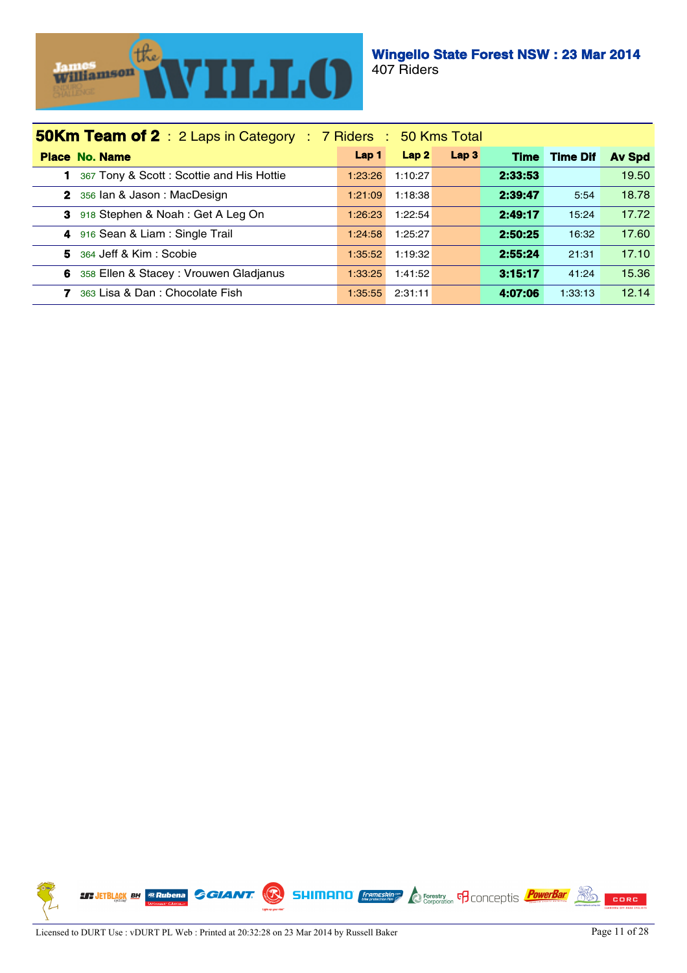

| <b>50Km Team of 2</b> : 2 Laps in Category : 7 Riders : 50 Kms Total |         |         |                  |         |                 |               |  |  |
|----------------------------------------------------------------------|---------|---------|------------------|---------|-----------------|---------------|--|--|
| <b>Place No. Name</b>                                                | Lap 1   | Lap2    | Lap <sub>3</sub> | Time    | <b>Time Dif</b> | <b>Av Spd</b> |  |  |
| 367 Tony & Scott: Scottie and His Hottie                             | 1:23:26 | 1:10:27 |                  | 2:33:53 |                 | 19.50         |  |  |
| 2 356 lan & Jason: MacDesign                                         | 1:21:09 | 1:18:38 |                  | 2:39:47 | 5:54            | 18.78         |  |  |
| 3 918 Stephen & Noah: Get A Leg On                                   | 1:26:23 | 1:22:54 |                  | 2:49:17 | 15:24           | 17.72         |  |  |
| 4 916 Sean & Liam: Single Trail                                      | 1:24:58 | 1:25:27 |                  | 2:50:25 | 16:32           | 17.60         |  |  |
| 5<br>364 Jeff & Kim : Scobie                                         | 1:35:52 | 1:19:32 |                  | 2:55:24 | 21:31           | 17.10         |  |  |
| 358 Ellen & Stacey: Vrouwen Gladjanus<br>6                           | 1:33:25 | 1:41:52 |                  | 3:15:17 | 41:24           | 15.36         |  |  |
| 363 Lisa & Dan: Chocolate Fish<br>7                                  | 1:35:55 | 2:31:11 |                  | 4:07:06 | 1:33:13         | 12.14         |  |  |

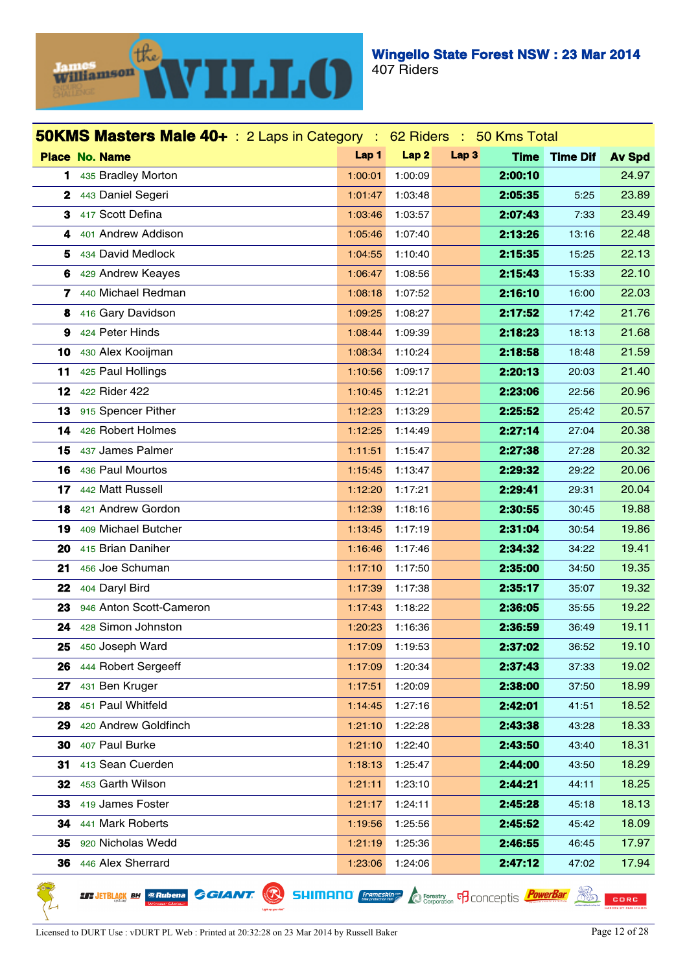

| <b>50KMS Masters Male 40+</b> : 2 Laps in Category : 62 Riders : 50 Kms Total |                         |                  |                  |                  |             |                 |               |  |  |  |
|-------------------------------------------------------------------------------|-------------------------|------------------|------------------|------------------|-------------|-----------------|---------------|--|--|--|
|                                                                               | <b>Place No. Name</b>   | Lap <sub>1</sub> | Lap <sub>2</sub> | Lap <sub>3</sub> | <b>Time</b> | <b>Time Dif</b> | <b>Av Spd</b> |  |  |  |
| 1                                                                             | 435 Bradley Morton      | 1:00:01          | 1:00:09          |                  | 2:00:10     |                 | 24.97         |  |  |  |
| $\mathbf{2}$                                                                  | 443 Daniel Segeri       | 1:01:47          | 1:03:48          |                  | 2:05:35     | 5:25            | 23.89         |  |  |  |
| 3                                                                             | 417 Scott Defina        | 1:03:46          | 1:03:57          |                  | 2:07:43     | 7:33            | 23.49         |  |  |  |
| 4                                                                             | 401 Andrew Addison      | 1:05:46          | 1:07:40          |                  | 2:13:26     | 13:16           | 22.48         |  |  |  |
| 5                                                                             | 434 David Medlock       | 1:04:55          | 1:10:40          |                  | 2:15:35     | 15:25           | 22.13         |  |  |  |
| 6                                                                             | 429 Andrew Keayes       | 1:06:47          | 1:08:56          |                  | 2:15:43     | 15:33           | 22.10         |  |  |  |
| 7                                                                             | 440 Michael Redman      | 1:08:18          | 1:07:52          |                  | 2:16:10     | 16:00           | 22.03         |  |  |  |
| 8                                                                             | 416 Gary Davidson       | 1:09:25          | 1:08:27          |                  | 2:17:52     | 17:42           | 21.76         |  |  |  |
| 9                                                                             | 424 Peter Hinds         | 1:08:44          | 1:09:39          |                  | 2:18:23     | 18:13           | 21.68         |  |  |  |
| 10                                                                            | 430 Alex Kooijman       | 1:08:34          | 1:10:24          |                  | 2:18:58     | 18:48           | 21.59         |  |  |  |
| 11                                                                            | 425 Paul Hollings       | 1:10:56          | 1:09:17          |                  | 2:20:13     | 20:03           | 21.40         |  |  |  |
| 12                                                                            | 422 Rider 422           | 1:10:45          | 1:12:21          |                  | 2:23:06     | 22:56           | 20.96         |  |  |  |
| 13                                                                            | 915 Spencer Pither      | 1:12:23          | 1:13:29          |                  | 2:25:52     | 25:42           | 20.57         |  |  |  |
| 14                                                                            | 426 Robert Holmes       | 1:12:25          | 1:14:49          |                  | 2:27:14     | 27:04           | 20.38         |  |  |  |
| 15                                                                            | 437 James Palmer        | 1:11:51          | 1:15:47          |                  | 2:27:38     | 27:28           | 20.32         |  |  |  |
| 16                                                                            | 436 Paul Mourtos        | 1:15:45          | 1:13:47          |                  | 2:29:32     | 29:22           | 20.06         |  |  |  |
| 17                                                                            | 442 Matt Russell        | 1:12:20          | 1:17:21          |                  | 2:29:41     | 29:31           | 20.04         |  |  |  |
| 18                                                                            | 421 Andrew Gordon       | 1:12:39          | 1:18:16          |                  | 2:30:55     | 30:45           | 19.88         |  |  |  |
| 19                                                                            | 409 Michael Butcher     | 1:13:45          | 1:17:19          |                  | 2:31:04     | 30:54           | 19.86         |  |  |  |
| 20                                                                            | 415 Brian Daniher       | 1:16:46          | 1:17:46          |                  | 2:34:32     | 34:22           | 19.41         |  |  |  |
| 21                                                                            | 456 Joe Schuman         | 1:17:10          | 1:17:50          |                  | 2:35:00     | 34:50           | 19.35         |  |  |  |
| 22                                                                            | 404 Daryl Bird          | 1:17:39          | 1:17:38          |                  | 2:35:17     | 35:07           | 19.32         |  |  |  |
| 23                                                                            | 946 Anton Scott-Cameron | 1:17:43          | 1:18:22          |                  | 2:36:05     | 35:55           | 19.22         |  |  |  |
| 24                                                                            | 428 Simon Johnston      | 1:20:23          | 1:16:36          |                  | 2:36:59     | 36:49           | 19.11         |  |  |  |
|                                                                               | 25 450 Joseph Ward      | 1:17:09          | 1:19:53          |                  | 2:37:02     | 36:52           | 19.10         |  |  |  |
| 26                                                                            | 444 Robert Sergeeff     | 1:17:09          | 1:20:34          |                  | 2:37:43     | 37:33           | 19.02         |  |  |  |
| 27                                                                            | 431 Ben Kruger          | 1:17:51          | 1:20:09          |                  | 2:38:00     | 37:50           | 18.99         |  |  |  |
| 28                                                                            | 451 Paul Whitfeld       | 1:14:45          | 1:27:16          |                  | 2:42:01     | 41:51           | 18.52         |  |  |  |
| 29                                                                            | 420 Andrew Goldfinch    | 1:21:10          | 1:22:28          |                  | 2:43:38     | 43:28           | 18.33         |  |  |  |
| 30                                                                            | 407 Paul Burke          | 1:21:10          | 1:22:40          |                  | 2:43:50     | 43:40           | 18.31         |  |  |  |
| 31                                                                            | 413 Sean Cuerden        | 1:18:13          | 1:25:47          |                  | 2:44:00     | 43:50           | 18.29         |  |  |  |
| 32                                                                            | 453 Garth Wilson        | 1:21:11          | 1:23:10          |                  | 2:44:21     | 44:11           | 18.25         |  |  |  |
| 33                                                                            | 419 James Foster        | 1:21:17          | 1:24:11          |                  | 2:45:28     | 45:18           | 18.13         |  |  |  |
| 34                                                                            | 441 Mark Roberts        | 1:19:56          | 1:25:56          |                  | 2:45:52     | 45:42           | 18.09         |  |  |  |
| 35                                                                            | 920 Nicholas Wedd       | 1:21:19          | 1:25:36          |                  | 2:46:55     | 46:45           | 17.97         |  |  |  |
| 36                                                                            | 446 Alex Sherrard       | 1:23:06          | 1:24:06          |                  | 2:47.12     | 47:02           | 17.94         |  |  |  |

**LT JETBLACK BH @Rubena** 

**SHIMANO** *Compassing* **C Correctly C** CONCEPTIS *PowerBar* 

CORC

**GGIANT.** 

 $\left(\mathcal{R}\right)$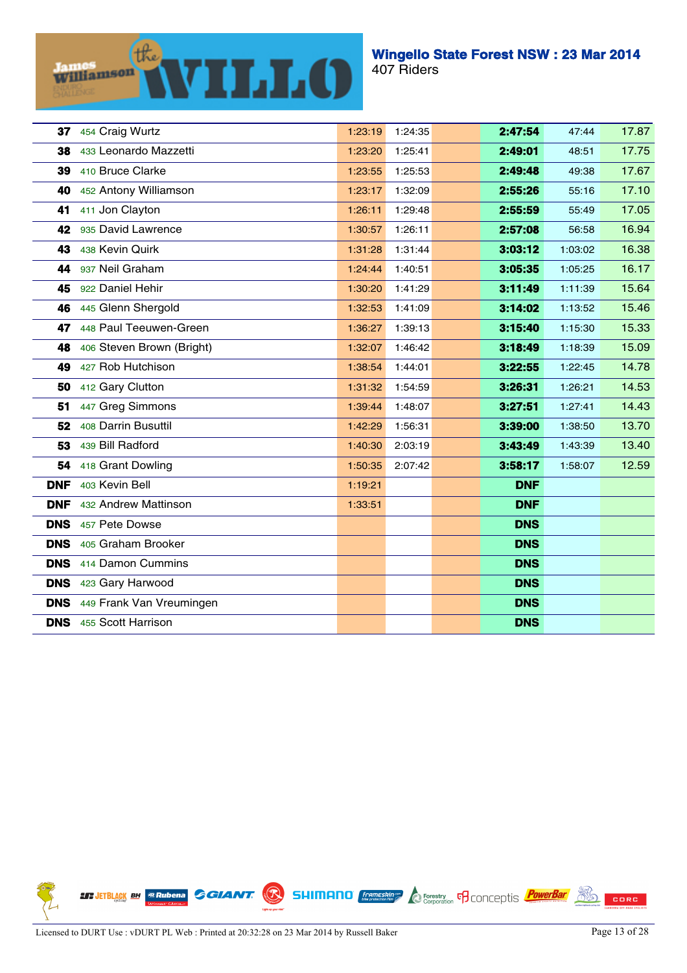(the) **WILLO** Williamson

| 37         | 454 Craig Wurtz           | 1:23:19 | 1:24:35 | 2:47:54    | 47:44   | 17.87 |
|------------|---------------------------|---------|---------|------------|---------|-------|
| 38         | 433 Leonardo Mazzetti     | 1:23:20 | 1:25:41 | 2:49:01    | 48:51   | 17.75 |
| 39         | 410 Bruce Clarke          | 1:23:55 | 1:25:53 | 2:49:48    | 49:38   | 17.67 |
| 40         | 452 Antony Williamson     | 1:23:17 | 1:32:09 | 2:55:26    | 55:16   | 17.10 |
| 41         | 411 Jon Clayton           | 1:26:11 | 1:29:48 | 2:55:59    | 55:49   | 17.05 |
| 42         | 935 David Lawrence        | 1:30:57 | 1:26:11 | 2:57:08    | 56:58   | 16.94 |
| 43         | 438 Kevin Quirk           | 1:31:28 | 1:31:44 | 3:03:12    | 1:03:02 | 16.38 |
| 44         | 937 Neil Graham           | 1:24:44 | 1:40:51 | 3:05:35    | 1:05:25 | 16.17 |
| 45         | 922 Daniel Hehir          | 1:30:20 | 1:41:29 | 3:11:49    | 1:11:39 | 15.64 |
| 46         | 445 Glenn Shergold        | 1:32:53 | 1:41:09 | 3:14:02    | 1:13:52 | 15.46 |
| 47         | 448 Paul Teeuwen-Green    | 1:36:27 | 1:39:13 | 3:15:40    | 1:15:30 | 15.33 |
| 48         | 406 Steven Brown (Bright) | 1:32:07 | 1:46:42 | 3:18:49    | 1:18:39 | 15.09 |
| 49         | 427 Rob Hutchison         | 1:38:54 | 1:44:01 | 3:22:55    | 1:22:45 | 14.78 |
| 50         | 412 Gary Clutton          | 1:31:32 | 1:54:59 | 3:26:31    | 1:26:21 | 14.53 |
| 51         | 447 Greg Simmons          | 1:39:44 | 1:48:07 | 3:27:51    | 1:27:41 | 14.43 |
| 52         | 408 Darrin Busuttil       | 1:42:29 | 1:56:31 | 3:39:00    | 1:38:50 | 13.70 |
| 53         | 439 Bill Radford          | 1:40:30 | 2:03:19 | 3:43:49    | 1:43:39 | 13.40 |
| 54         | 418 Grant Dowling         | 1:50:35 | 2:07:42 | 3:58:17    | 1:58:07 | 12.59 |
| <b>DNF</b> | 403 Kevin Bell            | 1:19:21 |         | <b>DNF</b> |         |       |
| <b>DNF</b> | 432 Andrew Mattinson      | 1:33:51 |         | <b>DNF</b> |         |       |
| <b>DNS</b> | 457 Pete Dowse            |         |         | <b>DNS</b> |         |       |
| <b>DNS</b> | 405 Graham Brooker        |         |         | <b>DNS</b> |         |       |
| <b>DNS</b> | 414 Damon Cummins         |         |         | <b>DNS</b> |         |       |
| <b>DNS</b> | 423 Gary Harwood          |         |         | <b>DNS</b> |         |       |
| <b>DNS</b> | 449 Frank Van Vreumingen  |         |         | <b>DNS</b> |         |       |
| <b>DNS</b> | 455 Scott Harrison        |         |         | <b>DNS</b> |         |       |

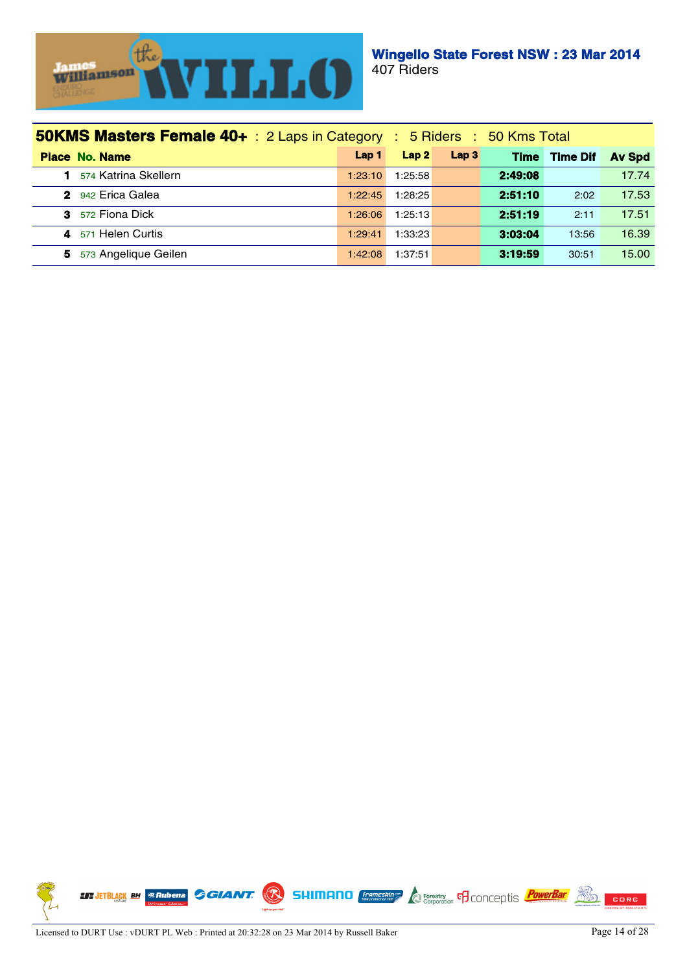

| <b>50KMS Masters Female 40+</b> : 2 Laps in Category : 5 Riders : 50 Kms Total |         |         |                  |             |                 |               |
|--------------------------------------------------------------------------------|---------|---------|------------------|-------------|-----------------|---------------|
| <b>Place No. Name</b>                                                          | Lap 1   | Lap2    | Lap <sub>3</sub> | <b>Time</b> | <b>Time Dif</b> | <b>Av Spd</b> |
| 574 Katrina Skellern                                                           | 1:23:10 | 1:25:58 |                  | 2:49:08     |                 | 17.74         |
| 2 942 Erica Galea                                                              | 1:22:45 | 1:28:25 |                  | 2:51:10     | 2:02            | 17.53         |
| <b>3</b> 572 Fiona Dick                                                        | 1:26:06 | 1:25:13 |                  | 2:51:19     | 2:11            | 17.51         |
| 571 Helen Curtis<br>4                                                          | 1:29:41 | 1:33:23 |                  | 3:03:04     | 13:56           | 16.39         |
| 573 Angelique Geilen<br>5.                                                     | 1:42:08 | 1:37:51 |                  | 3:19:59     | 30:51           | 15.00         |

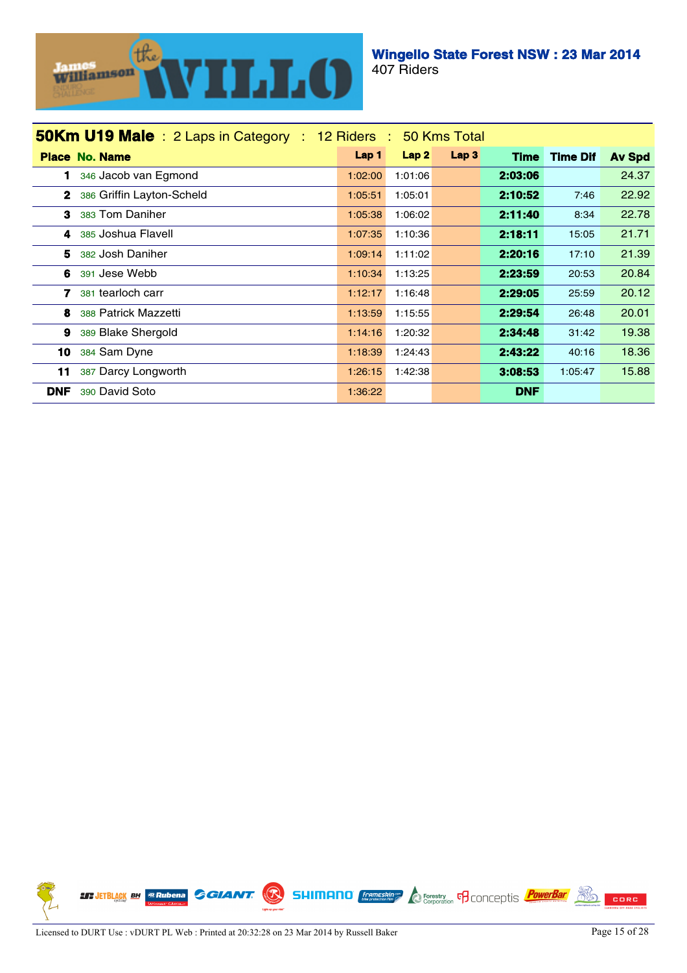

| <b>50Km U19 Male</b> : 2 Laps in Category : 12 Riders : 50 Kms Total |                  |         |                  |             |                 |               |
|----------------------------------------------------------------------|------------------|---------|------------------|-------------|-----------------|---------------|
| <b>Place No. Name</b>                                                | Lap <sub>1</sub> | Lap2    | Lap <sub>3</sub> | <b>Time</b> | <b>Time Dif</b> | <b>Av Spd</b> |
| 346 Jacob van Egmond                                                 | 1:02:00          | 1:01:06 |                  | 2:03:06     |                 | 24.37         |
| $\mathbf{2}$<br>386 Griffin Layton-Scheld                            | 1:05:51          | 1:05:01 |                  | 2:10:52     | 7:46            | 22.92         |
| 383 Tom Daniher<br>3                                                 | 1:05:38          | 1:06:02 |                  | 2:11:40     | 8:34            | 22.78         |
| 385 Joshua Flavell<br>4                                              | 1:07:35          | 1:10:36 |                  | 2:18:11     | 15:05           | 21.71         |
| 5<br>382 Josh Daniher                                                | 1:09:14          | 1:11:02 |                  | 2:20:16     | 17:10           | 21.39         |
| 6<br>391 Jese Webb                                                   | 1:10:34          | 1:13:25 |                  | 2:23:59     | 20:53           | 20.84         |
| 7<br>381 tearloch carr                                               | 1:12:17          | 1:16:48 |                  | 2:29.05     | 25:59           | 20.12         |
| 8<br>388 Patrick Mazzetti                                            | 1:13:59          | 1:15:55 |                  | 2:29:54     | 26:48           | 20.01         |
| 9<br>389 Blake Shergold                                              | 1:14:16          | 1:20:32 |                  | 2:34:48     | 31:42           | 19.38         |
| 10<br>384 Sam Dyne                                                   | 1:18:39          | 1:24:43 |                  | 2:43:22     | 40:16           | 18.36         |
| 387 Darcy Longworth<br>11                                            | 1:26:15          | 1:42:38 |                  | 3:08:53     | 1:05:47         | 15.88         |
| <b>DNF</b><br>390 David Soto                                         | 1:36:22          |         |                  | <b>DNF</b>  |                 |               |

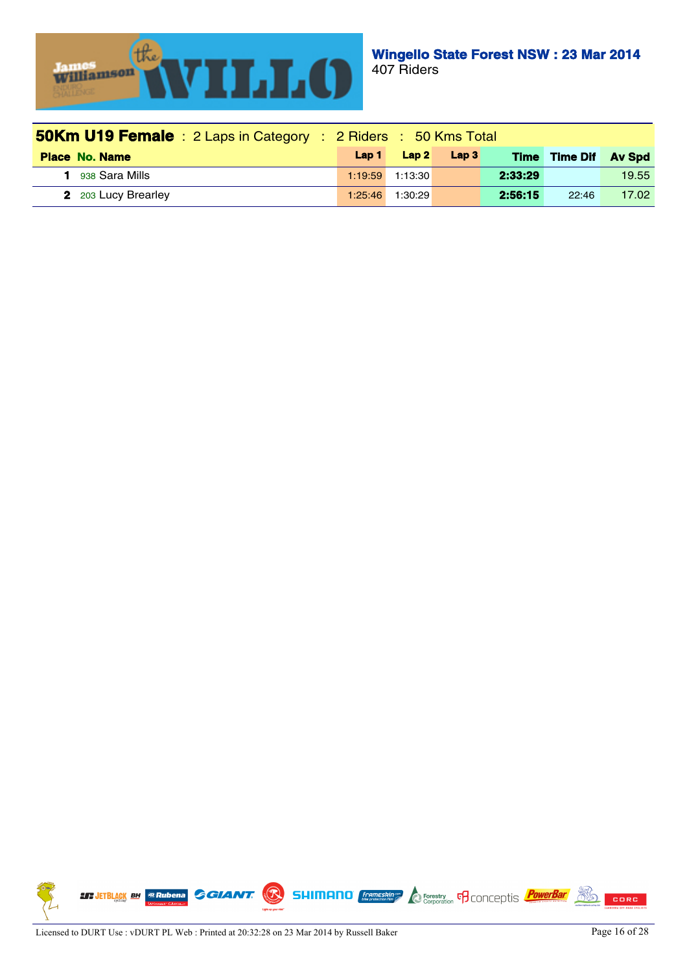

| <b>50Km U19 Female</b> : 2 Laps in Category : 2 Riders : 50 Kms Total |         |                   |                  |             |          |               |
|-----------------------------------------------------------------------|---------|-------------------|------------------|-------------|----------|---------------|
| <b>Place No. Name</b>                                                 | Lap 1   | Lap2              | Lap <sub>3</sub> | <b>Time</b> | Time Dif | <b>Av Spd</b> |
| 938 Sara Mills                                                        |         | $1:19:59$ 1:13:30 |                  | 2:33:29     |          | 19.55         |
| <b>2</b> 203 Lucy Brearley                                            | 1:25:46 | 1:30:29           |                  | 2:56:15     | 22:46    | 17.02         |

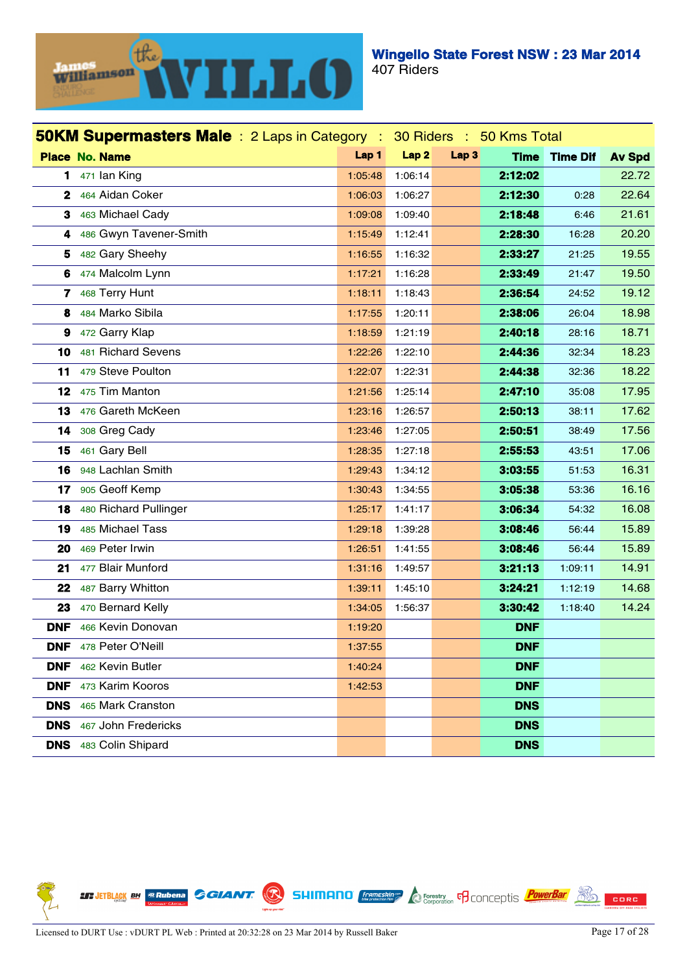

| <b>50KM Supermasters Male</b> : 2 Laps in Category :<br>30 Riders : 50 Kms Total |                        |         |                  |                  |             |                 |               |
|----------------------------------------------------------------------------------|------------------------|---------|------------------|------------------|-------------|-----------------|---------------|
|                                                                                  | <b>Place No. Name</b>  | Lap 1   | Lap <sub>2</sub> | Lap <sub>3</sub> | <b>Time</b> | <b>Time Dif</b> | <b>Av Spd</b> |
| 1.                                                                               | 471 Ian King           | 1:05:48 | 1:06:14          |                  | 2:12:02     |                 | 22.72         |
| 2                                                                                | 464 Aidan Coker        | 1:06:03 | 1:06:27          |                  | 2:12:30     | 0:28            | 22.64         |
| 3                                                                                | 463 Michael Cady       | 1:09:08 | 1:09:40          |                  | 2:18:48     | 6:46            | 21.61         |
| 4                                                                                | 486 Gwyn Tavener-Smith | 1:15:49 | 1:12:41          |                  | 2:28:30     | 16:28           | 20.20         |
| 5                                                                                | 482 Gary Sheehy        | 1:16:55 | 1:16:32          |                  | 2:33:27     | 21:25           | 19.55         |
| 6                                                                                | 474 Malcolm Lynn       | 1:17:21 | 1:16:28          |                  | 2:33:49     | 21:47           | 19.50         |
| 7                                                                                | 468 Terry Hunt         | 1:18:11 | 1:18:43          |                  | 2:36:54     | 24:52           | 19.12         |
| 8                                                                                | 484 Marko Sibila       | 1:17:55 | 1:20:11          |                  | 2:38:06     | 26:04           | 18.98         |
| 9                                                                                | 472 Garry Klap         | 1:18:59 | 1:21:19          |                  | 2:40:18     | 28:16           | 18.71         |
| 10                                                                               | 481 Richard Sevens     | 1:22:26 | 1:22:10          |                  | 2:44:36     | 32:34           | 18.23         |
| 11                                                                               | 479 Steve Poulton      | 1:22:07 | 1:22:31          |                  | 2:44:38     | 32:36           | 18.22         |
| 12                                                                               | 475 Tim Manton         | 1:21:56 | 1:25:14          |                  | 2:47:10     | 35:08           | 17.95         |
| 13                                                                               | 476 Gareth McKeen      | 1:23:16 | 1:26:57          |                  | 2:50:13     | 38:11           | 17.62         |
| 14                                                                               | 308 Greg Cady          | 1:23:46 | 1:27:05          |                  | 2:50:51     | 38:49           | 17.56         |
| 15                                                                               | 461 Gary Bell          | 1:28:35 | 1:27:18          |                  | 2:55:53     | 43:51           | 17.06         |
| 16                                                                               | 948 Lachlan Smith      | 1:29:43 | 1:34:12          |                  | 3:03:55     | 51:53           | 16.31         |
| 17                                                                               | 905 Geoff Kemp         | 1:30:43 | 1:34:55          |                  | 3:05:38     | 53:36           | 16.16         |
| 18                                                                               | 480 Richard Pullinger  | 1:25:17 | 1:41:17          |                  | 3:06:34     | 54:32           | 16.08         |
| 19                                                                               | 485 Michael Tass       | 1:29:18 | 1:39:28          |                  | 3:08:46     | 56:44           | 15.89         |
| 20                                                                               | 469 Peter Irwin        | 1:26:51 | 1:41:55          |                  | 3:08:46     | 56:44           | 15.89         |
| 21                                                                               | 477 Blair Munford      | 1:31:16 | 1:49:57          |                  | 3:21:13     | 1:09:11         | 14.91         |
| 22                                                                               | 487 Barry Whitton      | 1:39:11 | 1:45:10          |                  | 3:24.21     | 1:12:19         | 14.68         |
| 23                                                                               | 470 Bernard Kelly      | 1:34:05 | 1:56:37          |                  | 3:30:42     | 1:18:40         | 14.24         |
| <b>DNF</b>                                                                       | 466 Kevin Donovan      | 1:19:20 |                  |                  | <b>DNF</b>  |                 |               |
| <b>DNF</b>                                                                       | 478 Peter O'Neill      | 1:37:55 |                  |                  | <b>DNF</b>  |                 |               |
| <b>DNF</b>                                                                       | 462 Kevin Butler       | 1:40:24 |                  |                  | <b>DNF</b>  |                 |               |
| <b>DNF</b>                                                                       | 473 Karim Kooros       | 1:42:53 |                  |                  | <b>DNF</b>  |                 |               |
| <b>DNS</b>                                                                       | 465 Mark Cranston      |         |                  |                  | <b>DNS</b>  |                 |               |
| <b>DNS</b>                                                                       | 467 John Fredericks    |         |                  |                  | <b>DNS</b>  |                 |               |
| <b>DNS</b>                                                                       | 483 Colin Shipard      |         |                  |                  | <b>DNS</b>  |                 |               |

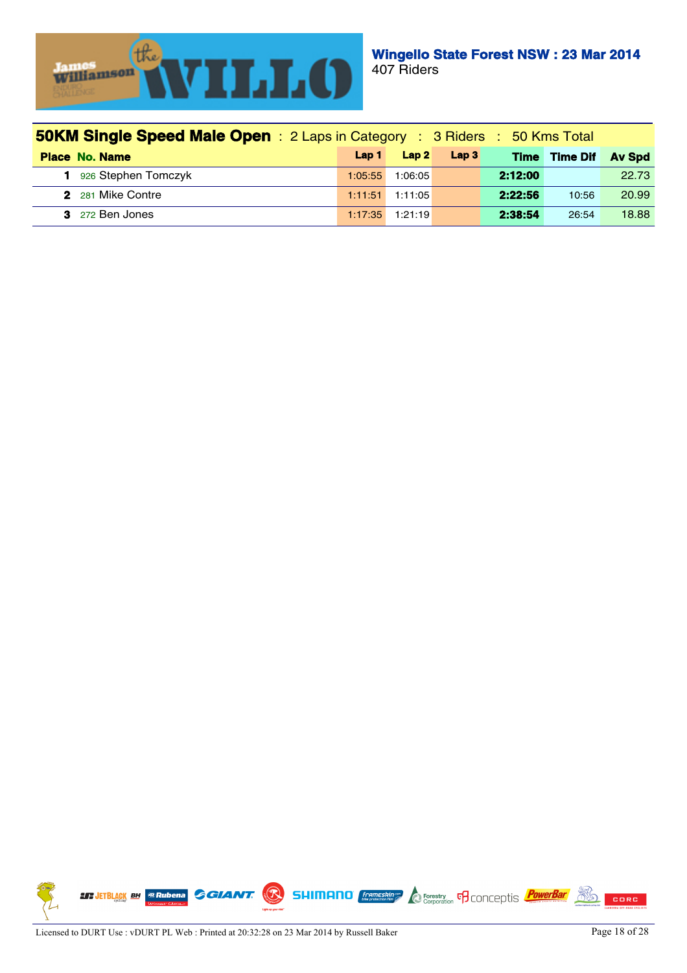

| <b>50KM Single Speed Male Open</b> : 2 Laps in Category : 3 Riders : 50 Kms Total |         |         |                  |             |                 |               |  |
|-----------------------------------------------------------------------------------|---------|---------|------------------|-------------|-----------------|---------------|--|
| <b>Place No. Name</b>                                                             | Lap 1   | Lap2    | Lap <sub>3</sub> | <b>Time</b> | <b>Time Dif</b> | <b>Av Spd</b> |  |
| 1 926 Stephen Tomczyk                                                             | 1:05:55 | 1:06:05 |                  | 2:12:00     |                 | 22.73         |  |
| 2 281 Mike Contre                                                                 | 1:11:51 | 1:11:05 |                  | 2:22:56     | 10:56           | 20.99         |  |
| 3 272 Ben Jones                                                                   | 1:17:35 | 1:21:19 |                  | 2:38:54     | 26:54           | 18.88         |  |

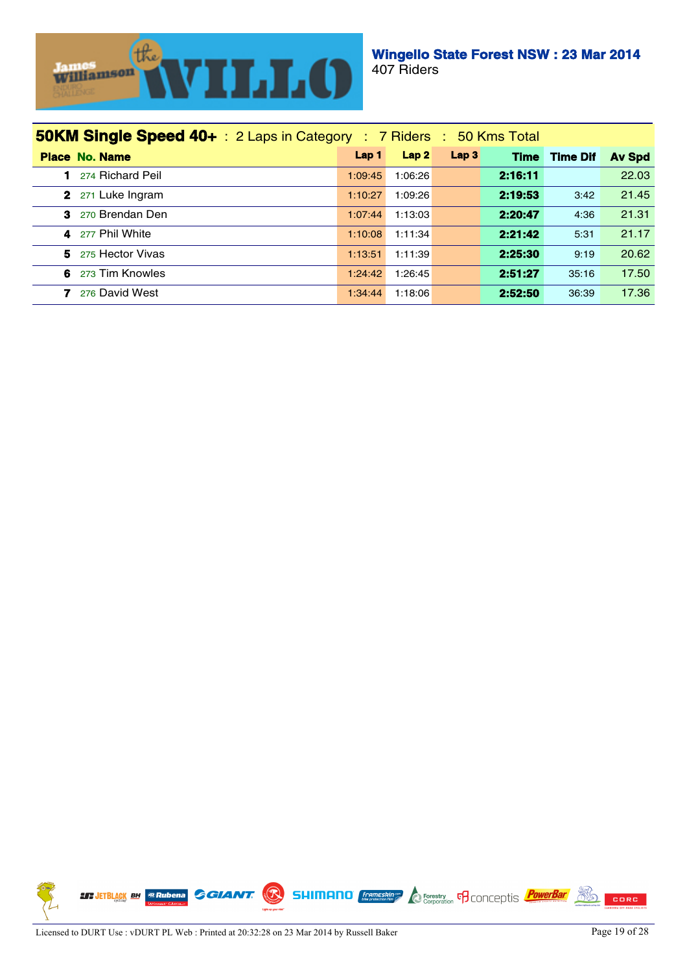

| <b>50KM Single Speed 40+</b> : 2 Laps in Category : 7 Riders : 50 Kms Total |                  |                  |                  |             |                 |               |
|-----------------------------------------------------------------------------|------------------|------------------|------------------|-------------|-----------------|---------------|
| <b>Place No. Name</b>                                                       | Lap <sub>1</sub> | Lap <sub>2</sub> | Lap <sub>3</sub> | <b>Time</b> | <b>Time Dif</b> | <b>Av Spd</b> |
| 274 Richard Peil                                                            | 1:09:45          | 1:06:26          |                  | 2:16:11     |                 | 22.03         |
| 2 271 Luke Ingram                                                           | 1:10:27          | 1:09:26          |                  | 2:19:53     | 3:42            | 21.45         |
| З.<br>270 Brendan Den                                                       | 1:07:44          | 1:13:03          |                  | 2:20:47     | 4:36            | 21.31         |
| 277 Phil White<br>4                                                         | 1:10:08          | 1:11:34          |                  | 2:21:42     | 5:31            | 21.17         |
| 5.<br>275 Hector Vivas                                                      | 1:13:51          | 1:11:39          |                  | 2:25:30     | 9:19            | 20.62         |
| 6<br>273 Tim Knowles                                                        | 1:24:42          | 1:26:45          |                  | 2:51:27     | 35:16           | 17.50         |
| 276 David West                                                              | 1:34:44          | 1:18:06          |                  | 2:52:50     | 36:39           | 17.36         |

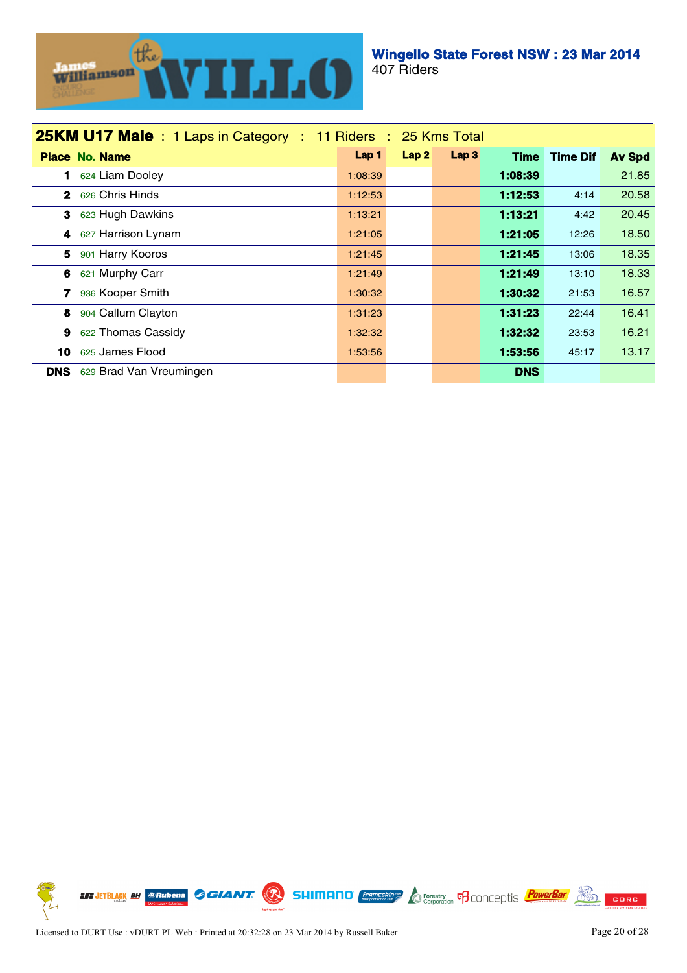

| 25KM U17 Male: 1 Laps in Category: 11 Riders: 25 Kms Total |                  |      |                  |             |                 |               |
|------------------------------------------------------------|------------------|------|------------------|-------------|-----------------|---------------|
| <b>Place No. Name</b>                                      | Lap <sub>1</sub> | Lap2 | Lap <sub>3</sub> | <b>Time</b> | <b>Time Dif</b> | <b>Av Spd</b> |
| 1 624 Liam Dooley                                          | 1:08:39          |      |                  | 1:08:39     |                 | 21.85         |
| 2 626 Chris Hinds                                          | 1:12:53          |      |                  | 1:12:53     | 4:14            | 20.58         |
| 3 623 Hugh Dawkins                                         | 1:13:21          |      |                  | 1:13:21     | 4:42            | 20.45         |
| 4 627 Harrison Lynam                                       | 1:21:05          |      |                  | 1:21:05     | 12:26           | 18.50         |
| 5 901 Harry Kooros                                         | 1:21:45          |      |                  | 1:21:45     | 13:06           | 18.35         |
| 621 Murphy Carr<br>6                                       | 1:21:49          |      |                  | 1:21:49     | 13:10           | 18.33         |
| 7.<br>936 Kooper Smith                                     | 1:30:32          |      |                  | 1:30:32     | 21:53           | 16.57         |
| 8<br>904 Callum Clayton                                    | 1:31:23          |      |                  | 1:31.23     | 22:44           | 16.41         |
| 622 Thomas Cassidy<br>9                                    | 1:32:32          |      |                  | 1:32:32     | 23:53           | 16.21         |
| 625 James Flood<br>10.                                     | 1:53:56          |      |                  | 1:53:56     | 45:17           | 13.17         |
| 629 Brad Van Vreumingen<br><b>DNS</b>                      |                  |      |                  | <b>DNS</b>  |                 |               |

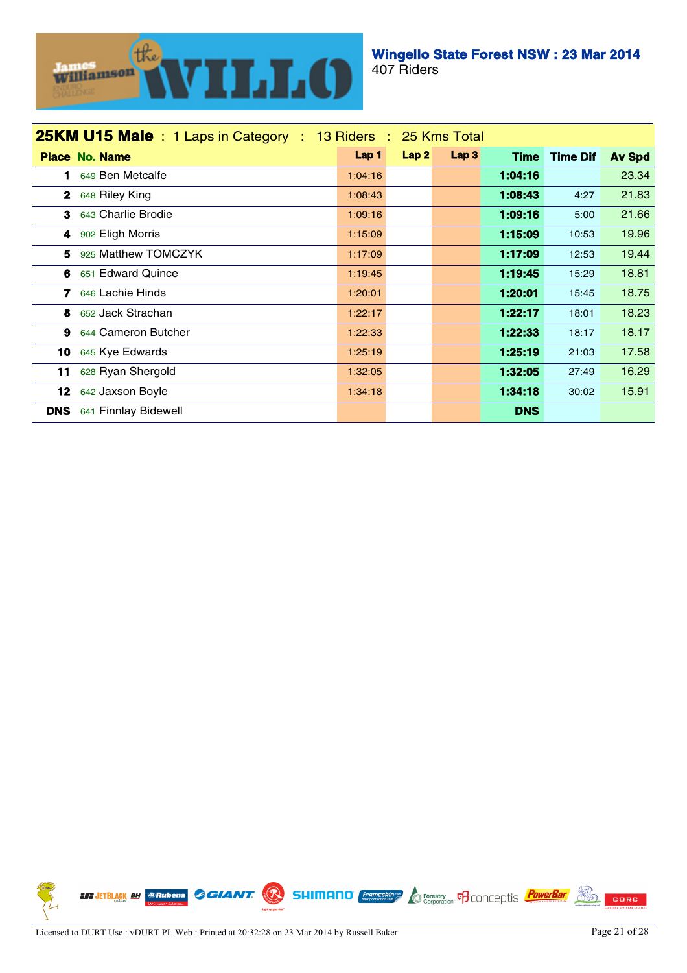

| <b>25KM U15 Male</b> : 1 Laps in Category : 13 Riders : 25 Kms Total |         |                  |                  |             |                 |               |
|----------------------------------------------------------------------|---------|------------------|------------------|-------------|-----------------|---------------|
| <b>Place No. Name</b>                                                | Lap 1   | Lap <sub>2</sub> | Lap <sub>3</sub> | <b>Time</b> | <b>Time Dif</b> | <b>Av Spd</b> |
| 649 Ben Metcalfe<br>1                                                | 1:04:16 |                  |                  | 1:04:16     |                 | 23.34         |
| $\mathbf{2}$<br>648 Riley King                                       | 1:08:43 |                  |                  | 1:08:43     | 4:27            | 21.83         |
| 643 Charlie Brodie<br>3                                              | 1:09:16 |                  |                  | 1:09:16     | 5:00            | 21.66         |
| 4 902 Eligh Morris                                                   | 1:15:09 |                  |                  | 1:15:09     | 10:53           | 19.96         |
| 925 Matthew TOMCZYK<br>5.                                            | 1:17:09 |                  |                  | 1:17:09     | 12:53           | 19.44         |
| 651 Edward Quince<br>6.                                              | 1:19:45 |                  |                  | 1:19:45     | 15:29           | 18.81         |
| 646 Lachie Hinds<br>7.                                               | 1:20:01 |                  |                  | 1:20.01     | 15:45           | 18.75         |
| 652 Jack Strachan<br>8.                                              | 1:22:17 |                  |                  | 1:22:17     | 18:01           | 18.23         |
| 644 Cameron Butcher<br>9                                             | 1:22:33 |                  |                  | 1:22:33     | 18:17           | 18.17         |
| 10 645 Kye Edwards                                                   | 1:25:19 |                  |                  | 1:25:19     | 21:03           | 17.58         |
| 628 Ryan Shergold<br>11                                              | 1:32:05 |                  |                  | 1:32:05     | 27:49           | 16.29         |
| 642 Jaxson Boyle<br>12                                               | 1:34:18 |                  |                  | 1:34:18     | 30:02           | 15.91         |
| <b>DNS</b><br>641 Finnlay Bidewell                                   |         |                  |                  | <b>DNS</b>  |                 |               |

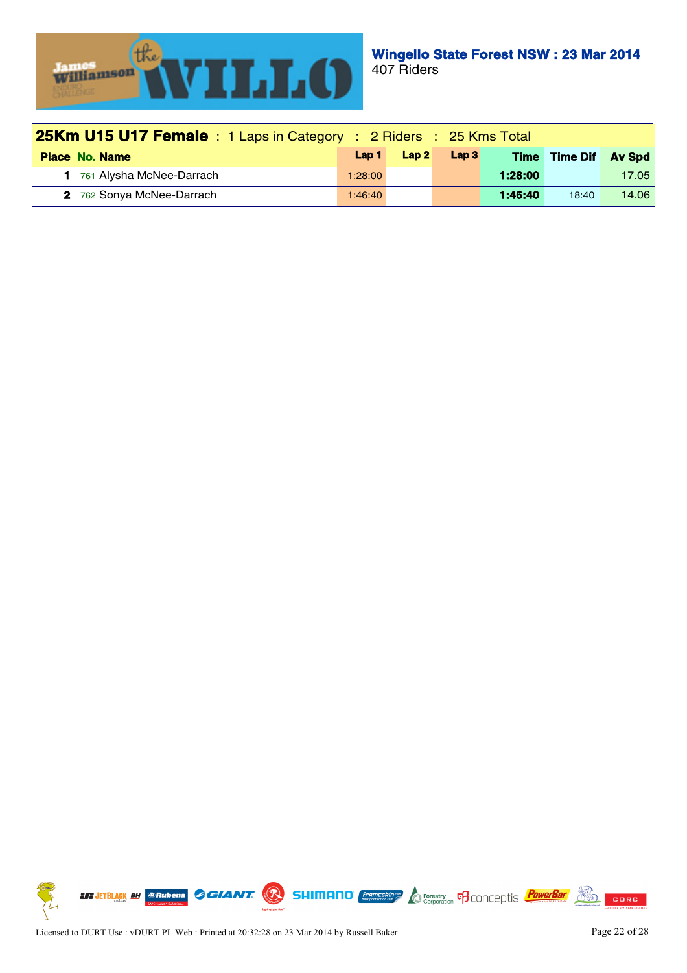

| <b>25Km U15 U17 Female</b> : 1 Laps in Category : 2 Riders : 25 Kms Total |         |      |                  |         |                      |       |
|---------------------------------------------------------------------------|---------|------|------------------|---------|----------------------|-------|
| <b>Place No. Name</b>                                                     | Lap 1   | Lap2 | Lap <sub>3</sub> |         | Time Time Dif Av Spd |       |
| 761 Alysha McNee-Darrach                                                  | 1:28:00 |      |                  | 1:28:00 |                      | 17.05 |
| 2 762 Sonya McNee-Darrach                                                 | 1:46:40 |      |                  | 1:46:40 | 18:40                | 14.06 |

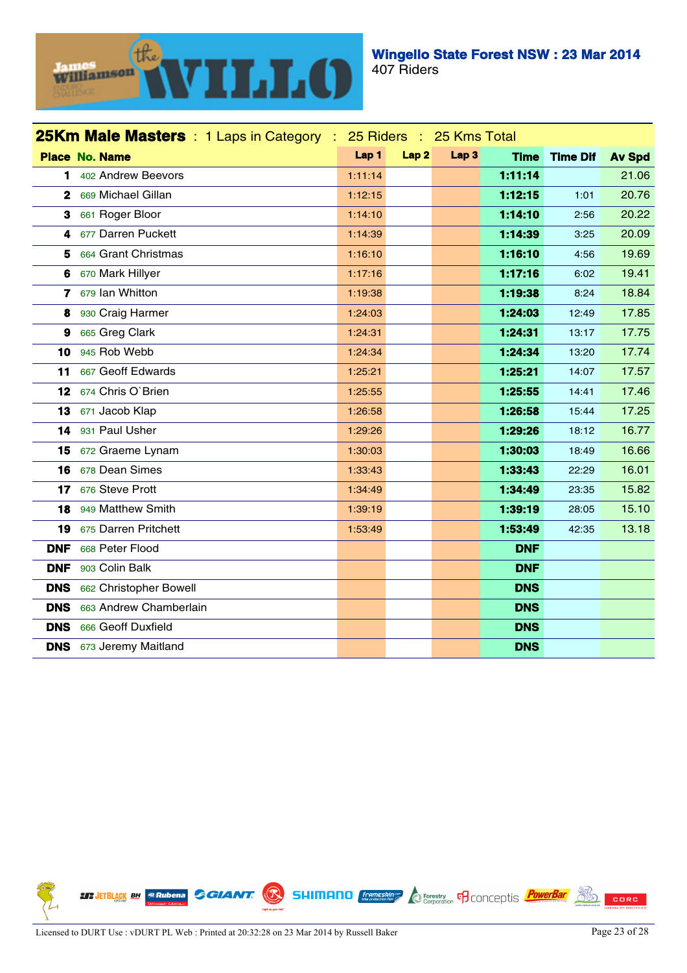

|                 | <b>25Km Male Masters</b> : 1 Laps in Category : 25 Riders : 25 Kms Total |         |      |                  |             |                 |               |
|-----------------|--------------------------------------------------------------------------|---------|------|------------------|-------------|-----------------|---------------|
|                 | <b>Place No. Name</b>                                                    | Lap 1   | Lap2 | Lap <sub>3</sub> | <b>Time</b> | <b>Time Dif</b> | <b>Av Spd</b> |
| 1.              | 402 Andrew Beevors                                                       | 1:11:14 |      |                  | 1:11:14     |                 | 21.06         |
|                 | 2 669 Michael Gillan                                                     | 1:12:15 |      |                  | 1:12:15     | 1:01            | 20.76         |
| 3               | 661 Roger Bloor                                                          | 1:14:10 |      |                  | 1:14:10     | 2:56            | 20.22         |
|                 | 4 677 Darren Puckett                                                     | 1:14:39 |      |                  | 1:14:39     | 3:25            | 20.09         |
| 5               | 664 Grant Christmas                                                      | 1:16:10 |      |                  | 1:16:10     | 4:56            | 19.69         |
| 6               | 670 Mark Hillyer                                                         | 1:17:16 |      |                  | 1:17:16     | 6:02            | 19.41         |
|                 | 7 679 lan Whitton                                                        | 1:19:38 |      |                  | 1:19:38     | 8:24            | 18.84         |
| 8               | 930 Craig Harmer                                                         | 1:24:03 |      |                  | 1:24:03     | 12:49           | 17.85         |
| 9               | 665 Greg Clark                                                           | 1:24:31 |      |                  | 1:24:31     | 13:17           | 17.75         |
| 10              | 945 Rob Webb                                                             | 1:24:34 |      |                  | 1:24:34     | 13:20           | 17.74         |
| 11              | 667 Geoff Edwards                                                        | 1:25:21 |      |                  | 1:25:21     | 14:07           | 17.57         |
| 12 <sub>2</sub> | 674 Chris O'Brien                                                        | 1:25:55 |      |                  | 1:25:55     | 14:41           | 17.46         |
| 13              | 671 Jacob Klap                                                           | 1:26:58 |      |                  | 1:26:58     | 15:44           | 17.25         |
| 14              | 931 Paul Usher                                                           | 1:29:26 |      |                  | 1:29:26     | 18:12           | 16.77         |
| 15              | 672 Graeme Lynam                                                         | 1:30:03 |      |                  | 1:30:03     | 18:49           | 16.66         |
| 16              | 678 Dean Simes                                                           | 1:33:43 |      |                  | 1:33.43     | 22:29           | 16.01         |
| 17              | 676 Steve Prott                                                          | 1:34:49 |      |                  | 1:34:49     | 23:35           | 15.82         |
| 18              | 949 Matthew Smith                                                        | 1:39:19 |      |                  | 1:39:19     | 28:05           | 15.10         |
| 19              | 675 Darren Pritchett                                                     | 1:53:49 |      |                  | 1:53:49     | 42:35           | 13.18         |
| <b>DNF</b>      | 668 Peter Flood                                                          |         |      |                  | <b>DNF</b>  |                 |               |
| <b>DNF</b>      | 903 Colin Balk                                                           |         |      |                  | <b>DNF</b>  |                 |               |
| <b>DNS</b>      | 662 Christopher Bowell                                                   |         |      |                  | <b>DNS</b>  |                 |               |
| <b>DNS</b>      | 663 Andrew Chamberlain                                                   |         |      |                  | <b>DNS</b>  |                 |               |
| <b>DNS</b>      | 666 Geoff Duxfield                                                       |         |      |                  | <b>DNS</b>  |                 |               |
|                 | <b>DNS</b> 673 Jeremy Maitland                                           |         |      |                  | <b>DNS</b>  |                 |               |

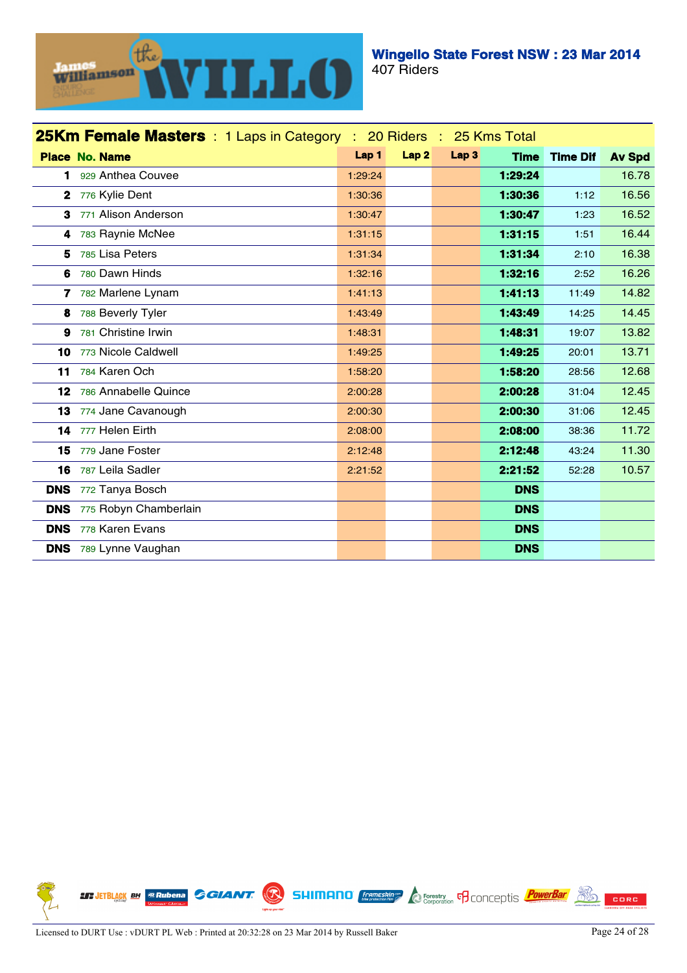

| <b>25Km Female Masters</b> : 1 Laps in Category : 20 Riders : 25 Kms Total |                              |         |                  |                  |             |                 |               |
|----------------------------------------------------------------------------|------------------------------|---------|------------------|------------------|-------------|-----------------|---------------|
|                                                                            | <b>Place No. Name</b>        | Lap 1   | Lap <sub>2</sub> | Lap <sub>3</sub> | <b>Time</b> | <b>Time Dif</b> | <b>Av Spd</b> |
| 1.                                                                         | 929 Anthea Couvee            | 1:29:24 |                  |                  | 1:29:24     |                 | 16.78         |
|                                                                            | 2 776 Kylie Dent             | 1:30:36 |                  |                  | 1:30:36     | 1:12            | 16.56         |
| 3                                                                          | 771 Alison Anderson          | 1:30:47 |                  |                  | 1:30:47     | 1:23            | 16.52         |
| 4                                                                          | 783 Raynie McNee             | 1:31:15 |                  |                  | 1:31:15     | 1:51            | 16.44         |
| 5.                                                                         | 785 Lisa Peters              | 1:31:34 |                  |                  | 1:31:34     | 2:10            | 16.38         |
|                                                                            | 6 780 Dawn Hinds             | 1:32:16 |                  |                  | 1:32:16     | 2:52            | 16.26         |
|                                                                            | 7 782 Marlene Lynam          | 1:41:13 |                  |                  | 1:41:13     | 11:49           | 14.82         |
| 8                                                                          | 788 Beverly Tyler            | 1:43:49 |                  |                  | 1:43:49     | 14:25           | 14.45         |
| 9                                                                          | 781 Christine Irwin          | 1:48:31 |                  |                  | 1:48:31     | 19:07           | 13.82         |
| 10                                                                         | 773 Nicole Caldwell          | 1:49:25 |                  |                  | 1:49:25     | 20:01           | 13.71         |
| 11                                                                         | 784 Karen Och                | 1:58:20 |                  |                  | 1:58:20     | 28:56           | 12.68         |
|                                                                            | 12 786 Annabelle Quince      | 2:00:28 |                  |                  | 2:00:28     | 31:04           | 12.45         |
|                                                                            | 13 774 Jane Cavanough        | 2:00:30 |                  |                  | 2:00:30     | 31:06           | 12.45         |
| 14                                                                         | 777 Helen Eirth              | 2:08:00 |                  |                  | 2:08:00     | 38:36           | 11.72         |
| 15                                                                         | 779 Jane Foster              | 2:12:48 |                  |                  | 2:12:48     | 43:24           | 11.30         |
| 16                                                                         | 787 Leila Sadler             | 2:21:52 |                  |                  | 2:21:52     | 52:28           | 10.57         |
| <b>DNS</b>                                                                 | 772 Tanya Bosch              |         |                  |                  | <b>DNS</b>  |                 |               |
| <b>DNS</b>                                                                 | 775 Robyn Chamberlain        |         |                  |                  | <b>DNS</b>  |                 |               |
| <b>DNS</b>                                                                 | 778 Karen Evans              |         |                  |                  | <b>DNS</b>  |                 |               |
|                                                                            | <b>DNS</b> 789 Lynne Vaughan |         |                  |                  | <b>DNS</b>  |                 |               |

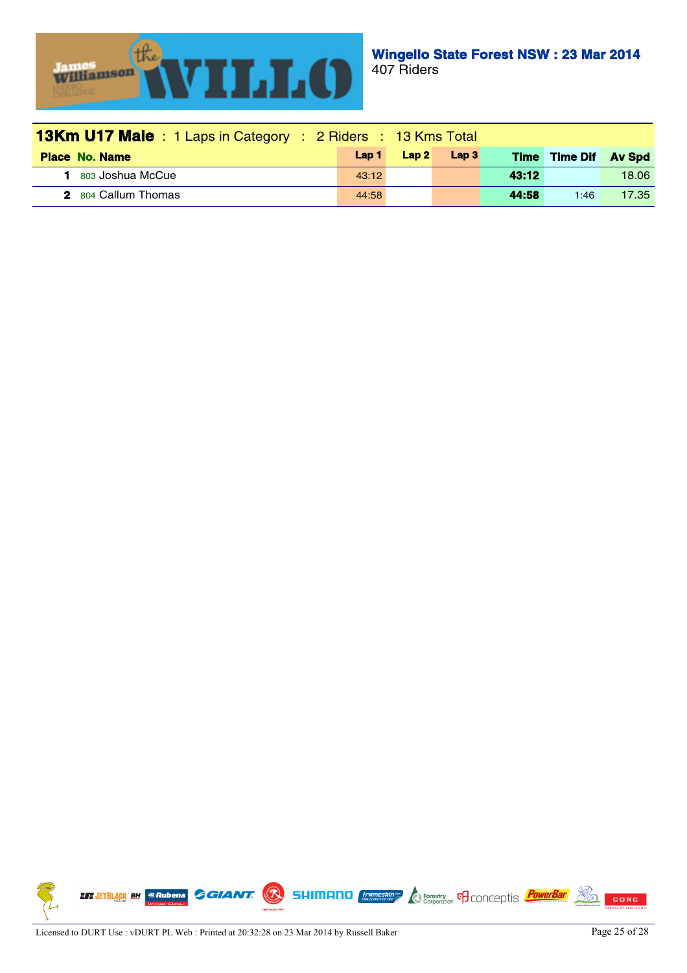

| <b>13Km U17 Male</b> : 1 Laps in Category : 2 Riders : 13 Kms Total |       |      |                  |             |                 |       |  |
|---------------------------------------------------------------------|-------|------|------------------|-------------|-----------------|-------|--|
| <b>Place No. Name</b>                                               | Lap 1 | Lap2 | Lap <sub>3</sub> | <b>Time</b> | Time Dif Av Spd |       |  |
| 1 803 Joshua McCue                                                  | 43:12 |      |                  | 43:12       |                 | 18.06 |  |
| 2 804 Callum Thomas                                                 | 44:58 |      |                  | 44.58       | 1:46            | 17.35 |  |

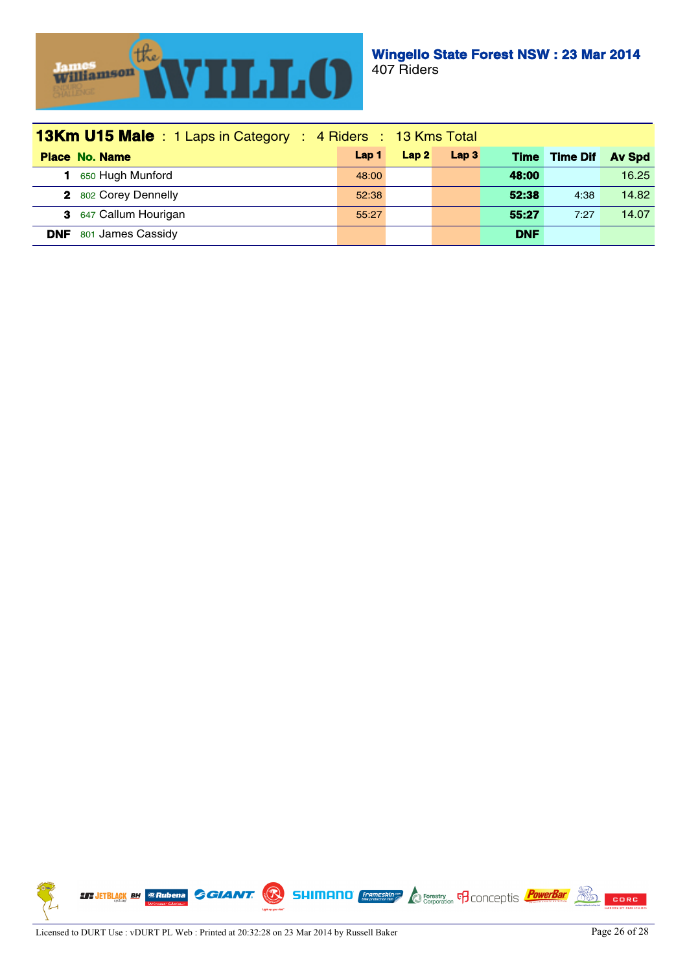

| <b>13Km U15 Male</b> : 1 Laps in Category : 4 Riders : 13 Kms Total |                  |      |                  |             |                 |               |
|---------------------------------------------------------------------|------------------|------|------------------|-------------|-----------------|---------------|
| <b>Place No. Name</b>                                               | Lap <sub>1</sub> | Lap2 | Lap <sub>3</sub> | <b>Time</b> | <b>Time Dif</b> | <b>Av Spd</b> |
| 650 Hugh Munford                                                    | 48:00            |      |                  | 48:00       |                 | 16.25         |
| 2 802 Corey Dennelly                                                | 52:38            |      |                  | 52:38       | 4:38            | 14.82         |
| 3 647 Callum Hourigan                                               | 55:27            |      |                  | 55:27       | 7:27            | 14.07         |
| 801 James Cassidy<br><b>DNF</b>                                     |                  |      |                  | <b>DNF</b>  |                 |               |

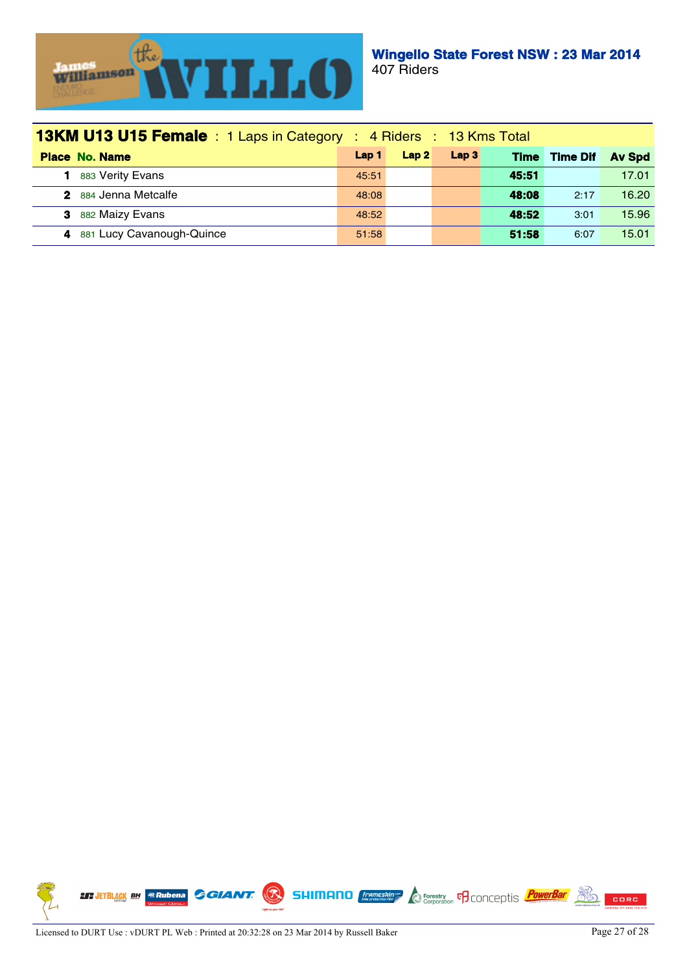

| <b>13KM U13 U15 Female</b> : 1 Laps in Category : 4 Riders : 13 Kms Total |       |      |                  |             |                 |               |
|---------------------------------------------------------------------------|-------|------|------------------|-------------|-----------------|---------------|
| <b>Place No. Name</b>                                                     | Lap 1 | Lap2 | Lap <sub>3</sub> | <b>Time</b> | <b>Time Dif</b> | <b>Av Spd</b> |
| 883 Verity Evans                                                          | 45:51 |      |                  | 45:51       |                 | 17.01         |
| 2 884 Jenna Metcalfe                                                      | 48:08 |      |                  | 48:08       | 2:17            | 16.20         |
| 882 Maizy Evans<br>З.                                                     | 48:52 |      |                  | 48:52       | 3:01            | 15.96         |
| 881 Lucy Cavanough-Quince                                                 | 51:58 |      |                  | 51:58       | 6:07            | 15.01         |